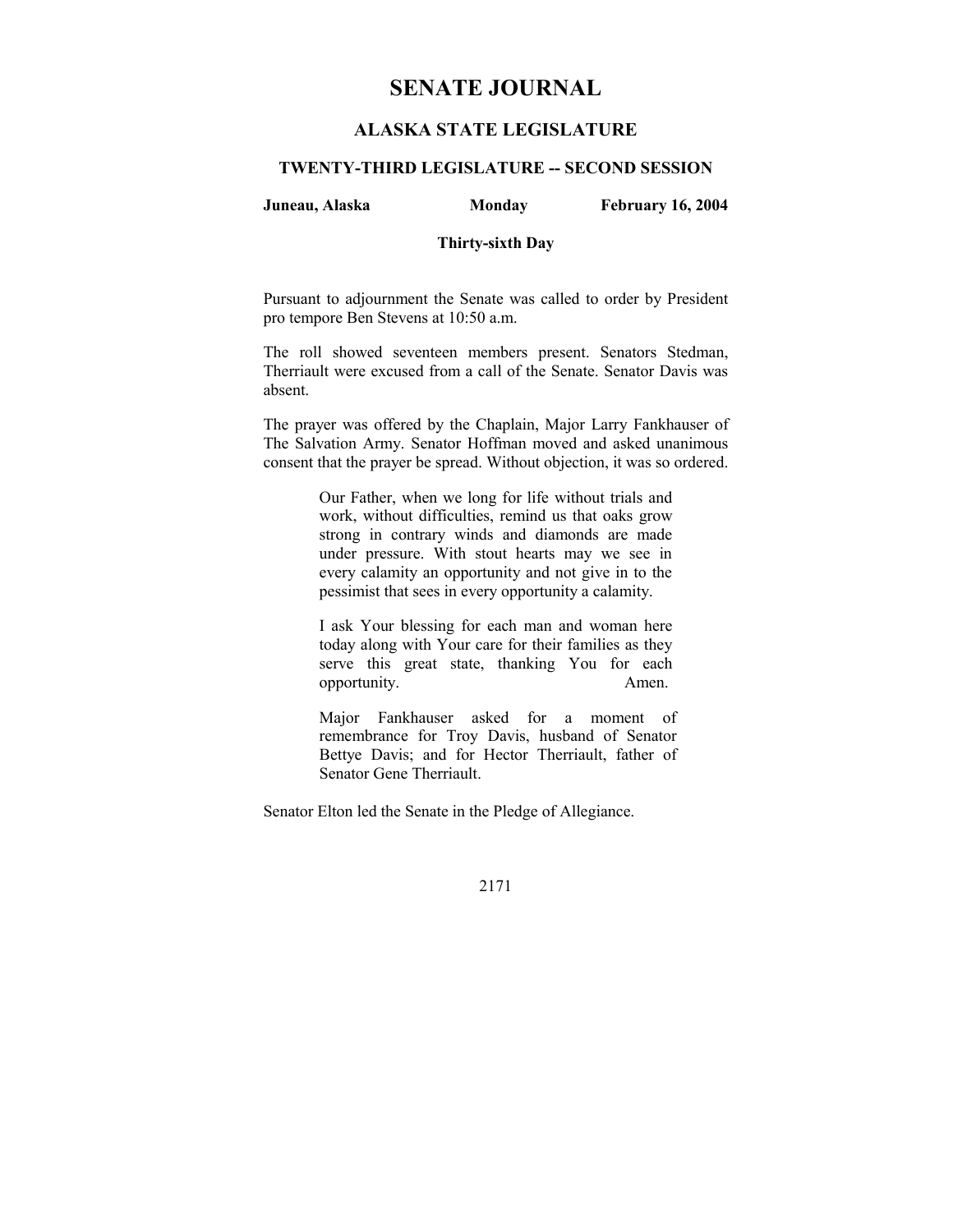# **SENATE JOURNAL**

# **ALASKA STATE LEGISLATURE**

### **TWENTY-THIRD LEGISLATURE -- SECOND SESSION**

### **Juneau, Alaska Monday February 16, 2004**

### **Thirty-sixth Day**

Pursuant to adjournment the Senate was called to order by President pro tempore Ben Stevens at 10:50 a.m.

The roll showed seventeen members present. Senators Stedman, Therriault were excused from a call of the Senate. Senator Davis was absent.

The prayer was offered by the Chaplain, Major Larry Fankhauser of The Salvation Army. Senator Hoffman moved and asked unanimous consent that the prayer be spread. Without objection, it was so ordered.

> Our Father, when we long for life without trials and work, without difficulties, remind us that oaks grow strong in contrary winds and diamonds are made under pressure. With stout hearts may we see in every calamity an opportunity and not give in to the pessimist that sees in every opportunity a calamity.

> I ask Your blessing for each man and woman here today along with Your care for their families as they serve this great state, thanking You for each opportunity. Amen.

Major Fankhauser asked for a moment of remembrance for Troy Davis, husband of Senator Bettye Davis; and for Hector Therriault, father of Senator Gene Therriault.

Senator Elton led the Senate in the Pledge of Allegiance.

2171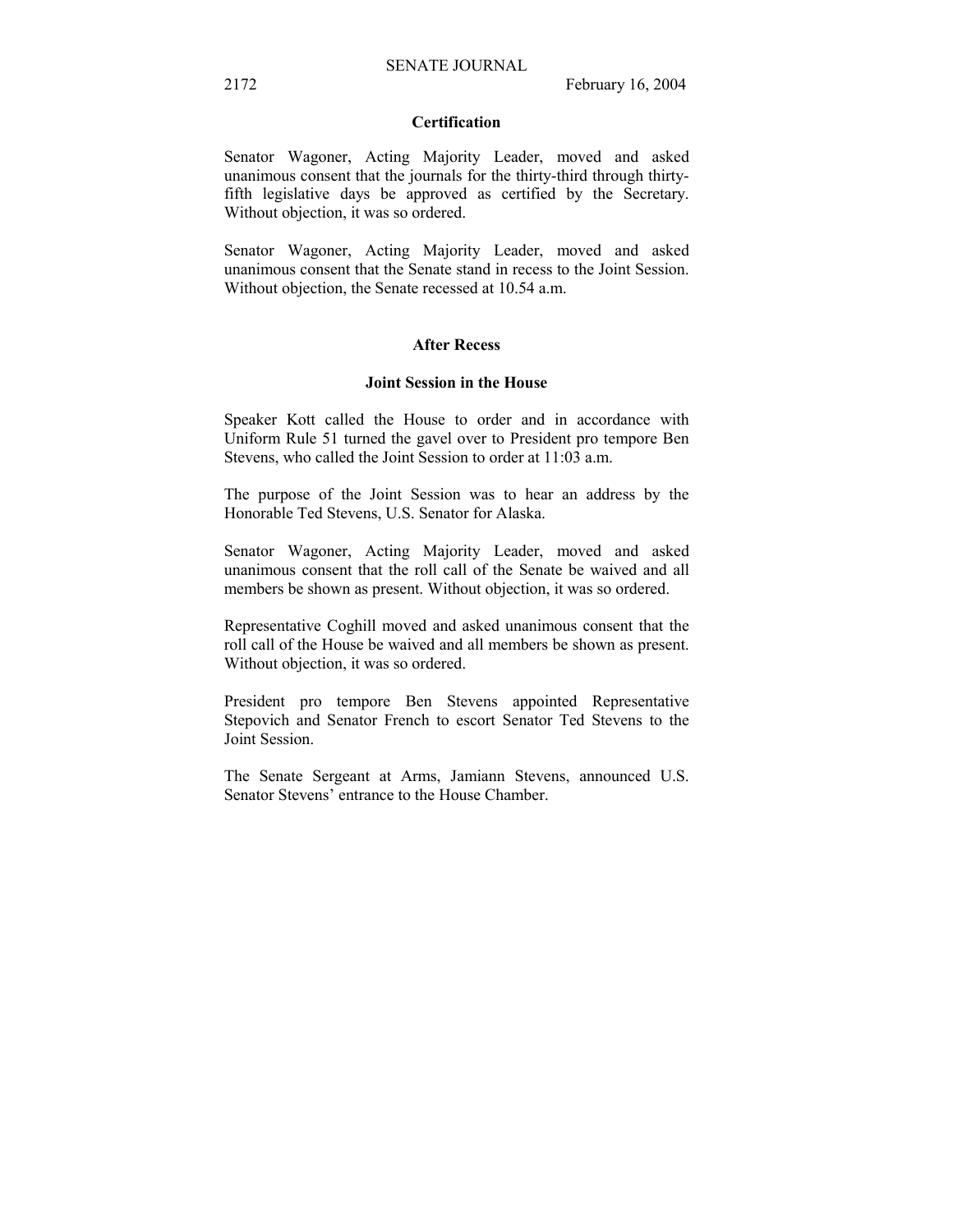### **Certification**

Senator Wagoner, Acting Majority Leader, moved and asked unanimous consent that the journals for the thirty-third through thirtyfifth legislative days be approved as certified by the Secretary. Without objection, it was so ordered.

Senator Wagoner, Acting Majority Leader, moved and asked unanimous consent that the Senate stand in recess to the Joint Session. Without objection, the Senate recessed at 10.54 a.m.

### **After Recess**

#### **Joint Session in the House**

Speaker Kott called the House to order and in accordance with Uniform Rule 51 turned the gavel over to President pro tempore Ben Stevens, who called the Joint Session to order at 11:03 a.m.

The purpose of the Joint Session was to hear an address by the Honorable Ted Stevens, U.S. Senator for Alaska.

Senator Wagoner, Acting Majority Leader, moved and asked unanimous consent that the roll call of the Senate be waived and all members be shown as present. Without objection, it was so ordered.

Representative Coghill moved and asked unanimous consent that the roll call of the House be waived and all members be shown as present. Without objection, it was so ordered.

President pro tempore Ben Stevens appointed Representative Stepovich and Senator French to escort Senator Ted Stevens to the Joint Session.

The Senate Sergeant at Arms, Jamiann Stevens, announced U.S. Senator Stevens' entrance to the House Chamber.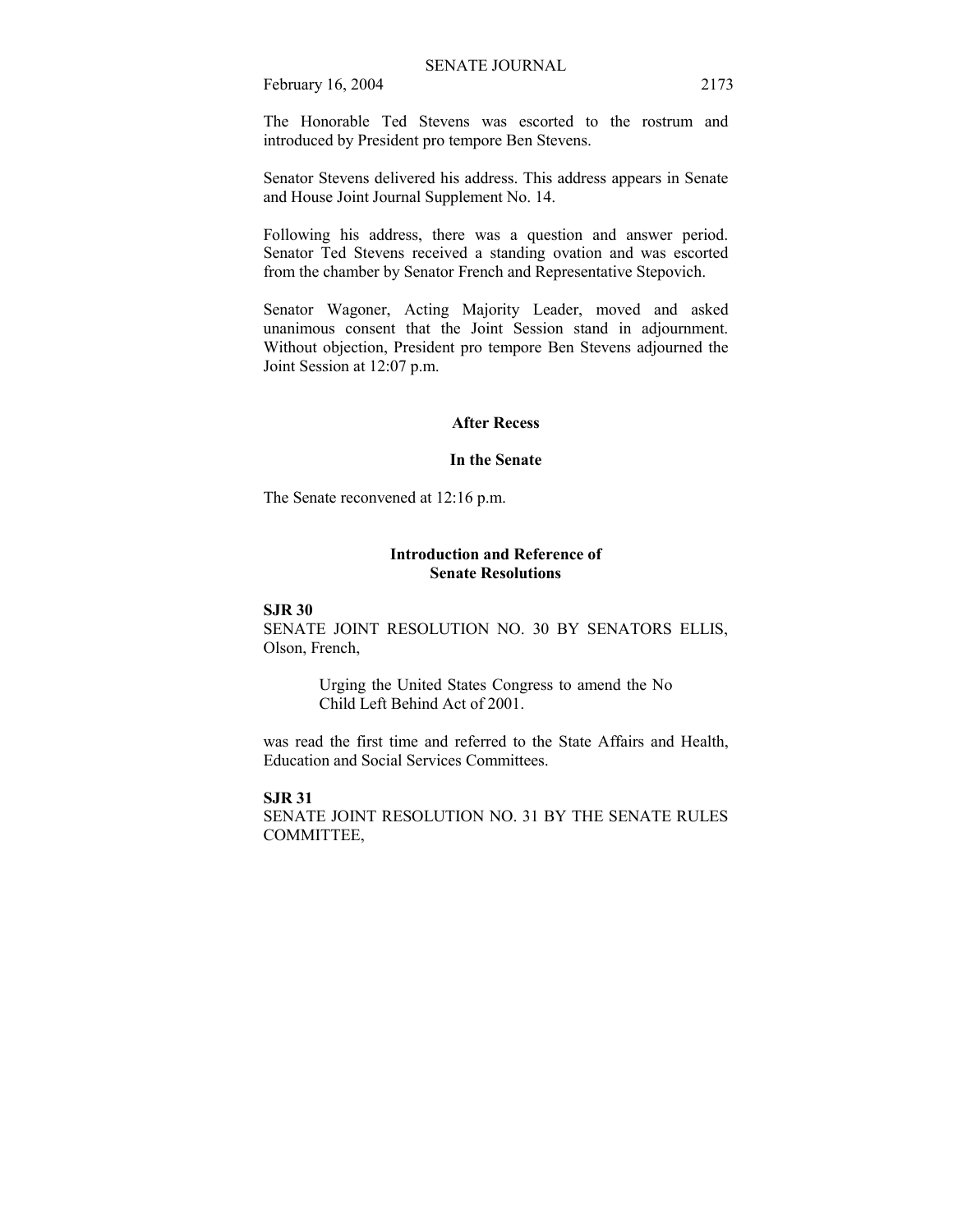The Honorable Ted Stevens was escorted to the rostrum and introduced by President pro tempore Ben Stevens.

Senator Stevens delivered his address. This address appears in Senate and House Joint Journal Supplement No. 14.

Following his address, there was a question and answer period. Senator Ted Stevens received a standing ovation and was escorted from the chamber by Senator French and Representative Stepovich.

Senator Wagoner, Acting Majority Leader, moved and asked unanimous consent that the Joint Session stand in adjournment. Without objection, President pro tempore Ben Stevens adjourned the Joint Session at 12:07 p.m.

### **After Recess**

#### **In the Senate**

The Senate reconvened at 12:16 p.m.

### **Introduction and Reference of Senate Resolutions**

#### **SJR 30**

SENATE JOINT RESOLUTION NO. 30 BY SENATORS ELLIS, Olson, French,

> Urging the United States Congress to amend the No Child Left Behind Act of 2001.

was read the first time and referred to the State Affairs and Health, Education and Social Services Committees.

#### **SJR 31**

SENATE JOINT RESOLUTION NO. 31 BY THE SENATE RULES COMMITTEE,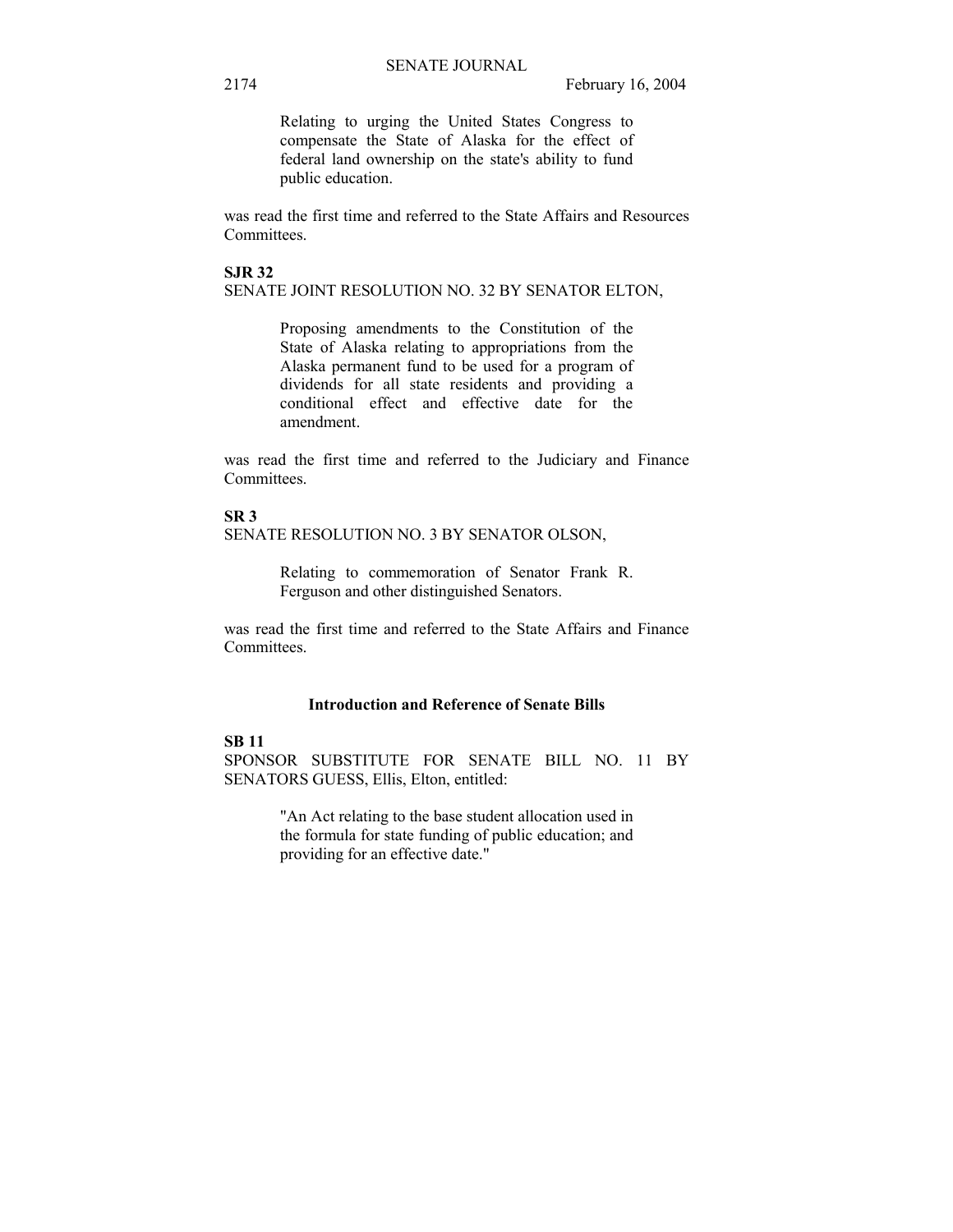Relating to urging the United States Congress to compensate the State of Alaska for the effect of federal land ownership on the state's ability to fund public education.

was read the first time and referred to the State Affairs and Resources Committees.

#### **SJR 32**

SENATE JOINT RESOLUTION NO. 32 BY SENATOR ELTON,

Proposing amendments to the Constitution of the State of Alaska relating to appropriations from the Alaska permanent fund to be used for a program of dividends for all state residents and providing a conditional effect and effective date for the amendment.

was read the first time and referred to the Judiciary and Finance Committees.

# **SR 3**

SENATE RESOLUTION NO. 3 BY SENATOR OLSON,

Relating to commemoration of Senator Frank R. Ferguson and other distinguished Senators.

was read the first time and referred to the State Affairs and Finance Committees.

### **Introduction and Reference of Senate Bills**

### **SB 11**

SPONSOR SUBSTITUTE FOR SENATE BILL NO. 11 BY SENATORS GUESS, Ellis, Elton, entitled:

> "An Act relating to the base student allocation used in the formula for state funding of public education; and providing for an effective date."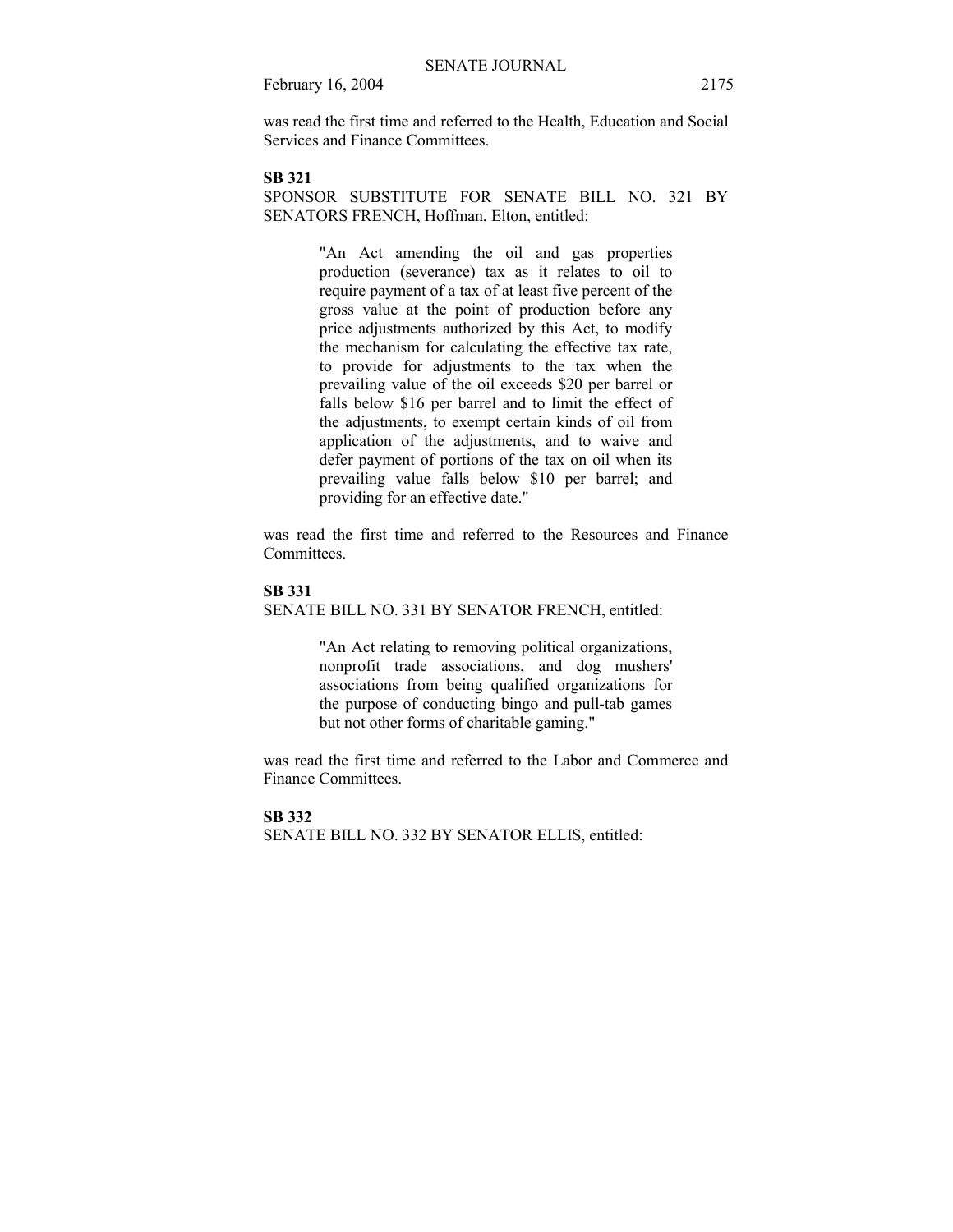was read the first time and referred to the Health, Education and Social Services and Finance Committees.

### **SB 321**

SPONSOR SUBSTITUTE FOR SENATE BILL NO. 321 BY SENATORS FRENCH, Hoffman, Elton, entitled:

> "An Act amending the oil and gas properties production (severance) tax as it relates to oil to require payment of a tax of at least five percent of the gross value at the point of production before any price adjustments authorized by this Act, to modify the mechanism for calculating the effective tax rate, to provide for adjustments to the tax when the prevailing value of the oil exceeds \$20 per barrel or falls below \$16 per barrel and to limit the effect of the adjustments, to exempt certain kinds of oil from application of the adjustments, and to waive and defer payment of portions of the tax on oil when its prevailing value falls below \$10 per barrel; and providing for an effective date."

was read the first time and referred to the Resources and Finance Committees.

#### **SB 331**

SENATE BILL NO. 331 BY SENATOR FRENCH, entitled:

"An Act relating to removing political organizations, nonprofit trade associations, and dog mushers' associations from being qualified organizations for the purpose of conducting bingo and pull-tab games but not other forms of charitable gaming."

was read the first time and referred to the Labor and Commerce and Finance Committees.

#### **SB 332**

SENATE BILL NO. 332 BY SENATOR ELLIS, entitled: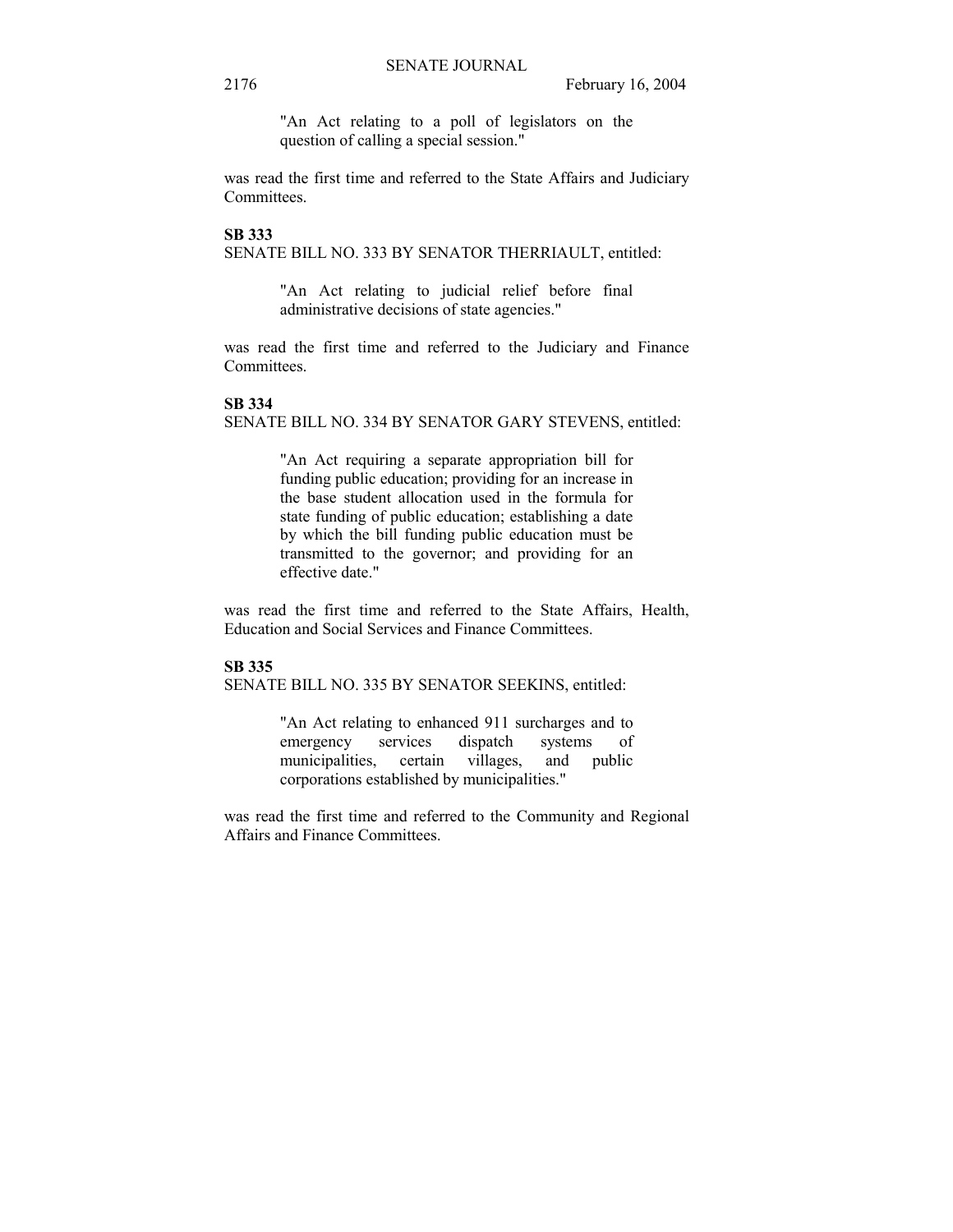"An Act relating to a poll of legislators on the question of calling a special session."

was read the first time and referred to the State Affairs and Judiciary Committees.

### **SB 333**

SENATE BILL NO. 333 BY SENATOR THERRIAULT, entitled:

"An Act relating to judicial relief before final administrative decisions of state agencies."

was read the first time and referred to the Judiciary and Finance Committees.

### **SB 334**

SENATE BILL NO. 334 BY SENATOR GARY STEVENS, entitled:

"An Act requiring a separate appropriation bill for funding public education; providing for an increase in the base student allocation used in the formula for state funding of public education; establishing a date by which the bill funding public education must be transmitted to the governor; and providing for an effective date."

was read the first time and referred to the State Affairs, Health, Education and Social Services and Finance Committees.

### **SB 335**

SENATE BILL NO. 335 BY SENATOR SEEKINS, entitled:

"An Act relating to enhanced 911 surcharges and to emergency services dispatch systems of municipalities, certain villages, and public corporations established by municipalities."

was read the first time and referred to the Community and Regional Affairs and Finance Committees.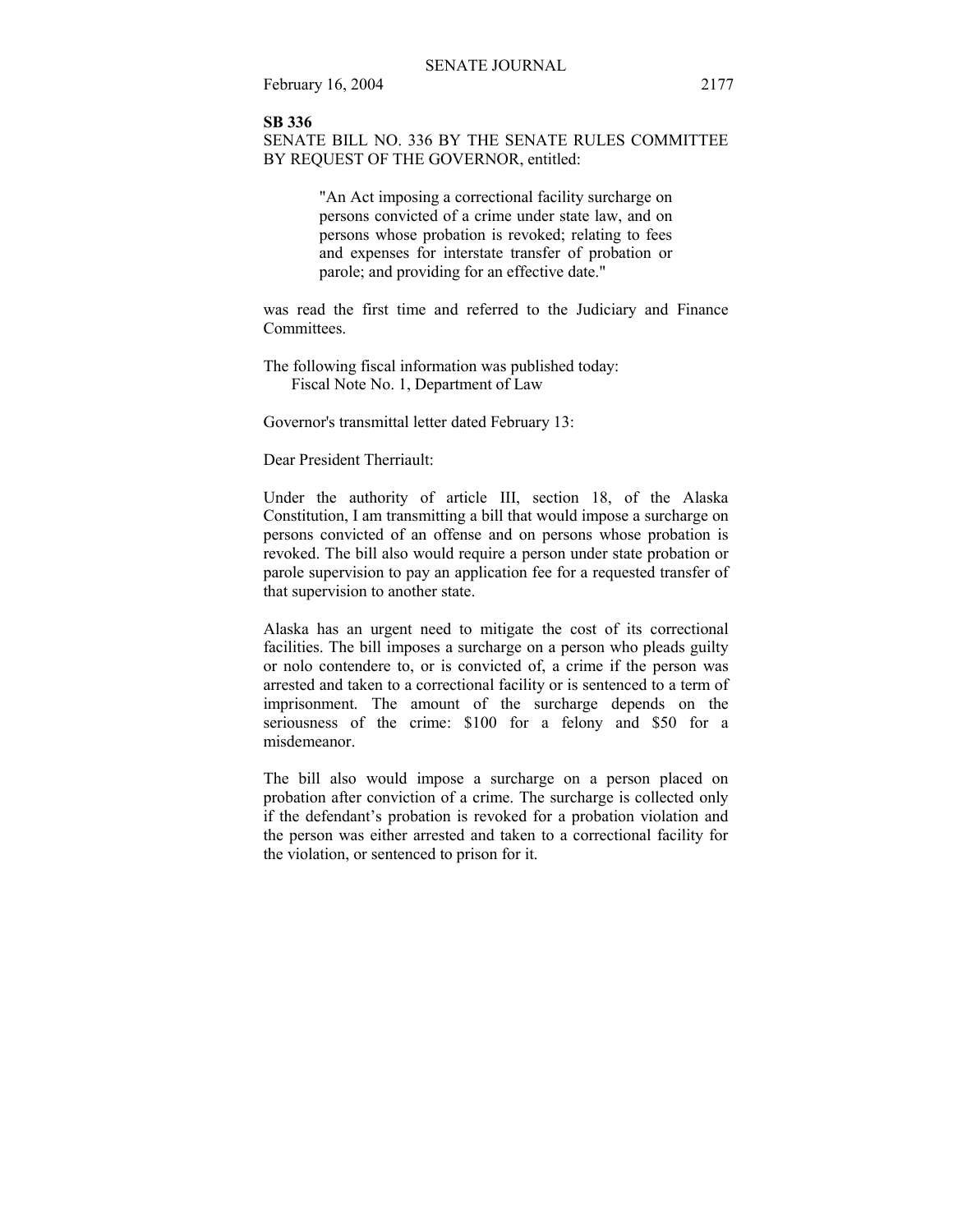#### **SB 336**

SENATE BILL NO. 336 BY THE SENATE RULES COMMITTEE BY REQUEST OF THE GOVERNOR, entitled:

> "An Act imposing a correctional facility surcharge on persons convicted of a crime under state law, and on persons whose probation is revoked; relating to fees and expenses for interstate transfer of probation or parole; and providing for an effective date."

was read the first time and referred to the Judiciary and Finance Committees.

The following fiscal information was published today: Fiscal Note No. 1, Department of Law

Governor's transmittal letter dated February 13:

Dear President Therriault:

Under the authority of article III, section 18, of the Alaska Constitution, I am transmitting a bill that would impose a surcharge on persons convicted of an offense and on persons whose probation is revoked. The bill also would require a person under state probation or parole supervision to pay an application fee for a requested transfer of that supervision to another state.

Alaska has an urgent need to mitigate the cost of its correctional facilities. The bill imposes a surcharge on a person who pleads guilty or nolo contendere to, or is convicted of, a crime if the person was arrested and taken to a correctional facility or is sentenced to a term of imprisonment. The amount of the surcharge depends on the seriousness of the crime: \$100 for a felony and \$50 for a misdemeanor.

The bill also would impose a surcharge on a person placed on probation after conviction of a crime. The surcharge is collected only if the defendant's probation is revoked for a probation violation and the person was either arrested and taken to a correctional facility for the violation, or sentenced to prison for it.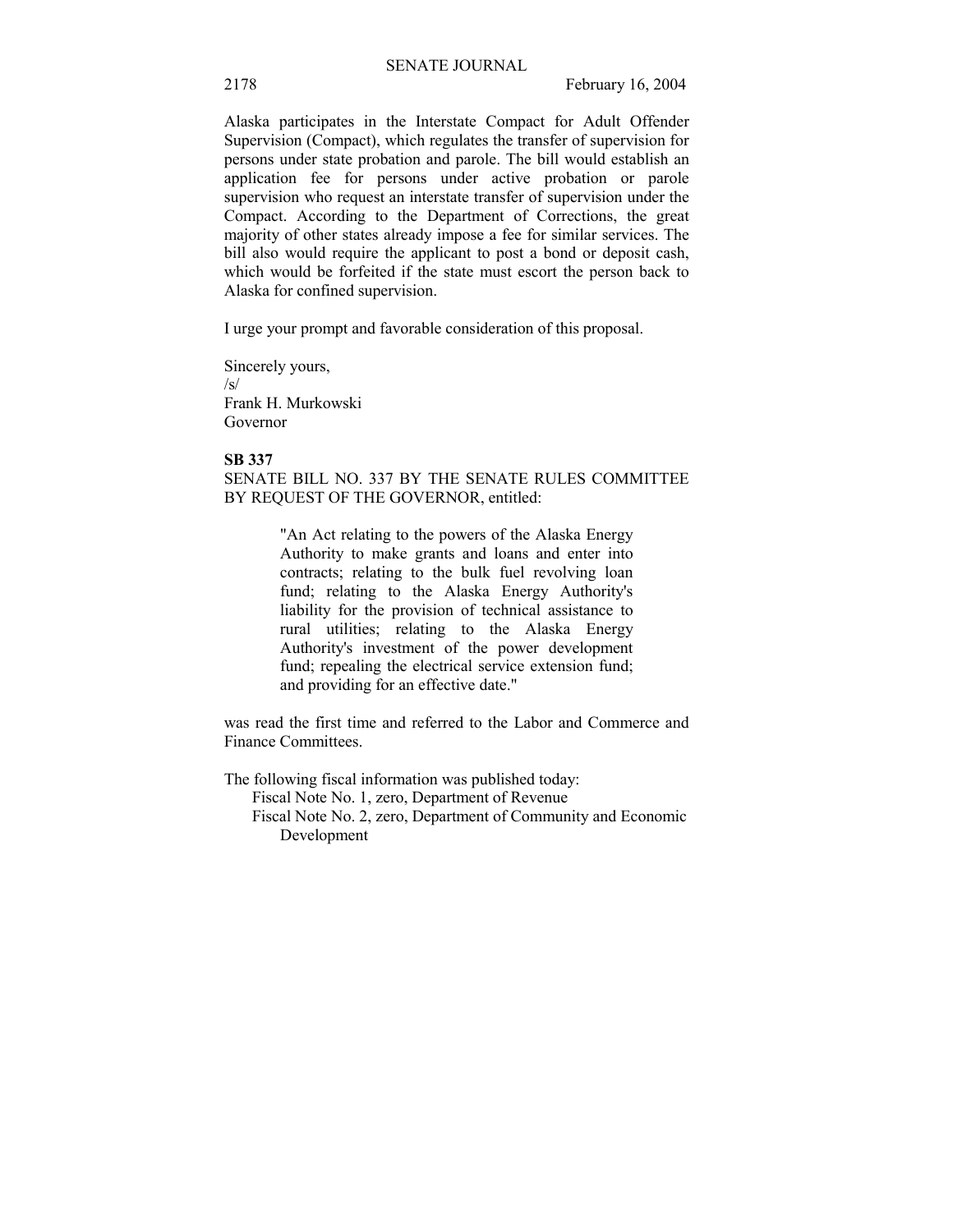Alaska participates in the Interstate Compact for Adult Offender Supervision (Compact), which regulates the transfer of supervision for persons under state probation and parole. The bill would establish an application fee for persons under active probation or parole supervision who request an interstate transfer of supervision under the Compact. According to the Department of Corrections, the great majority of other states already impose a fee for similar services. The bill also would require the applicant to post a bond or deposit cash, which would be forfeited if the state must escort the person back to Alaska for confined supervision.

I urge your prompt and favorable consideration of this proposal.

Sincerely yours,  $\sqrt{c}$ Frank H. Murkowski Governor

#### **SB 337**

SENATE BILL NO. 337 BY THE SENATE RULES COMMITTEE BY REQUEST OF THE GOVERNOR, entitled:

> "An Act relating to the powers of the Alaska Energy Authority to make grants and loans and enter into contracts; relating to the bulk fuel revolving loan fund; relating to the Alaska Energy Authority's liability for the provision of technical assistance to rural utilities; relating to the Alaska Energy Authority's investment of the power development fund; repealing the electrical service extension fund; and providing for an effective date."

was read the first time and referred to the Labor and Commerce and Finance Committees.

The following fiscal information was published today:

Fiscal Note No. 1, zero, Department of Revenue

 Fiscal Note No. 2, zero, Department of Community and Economic Development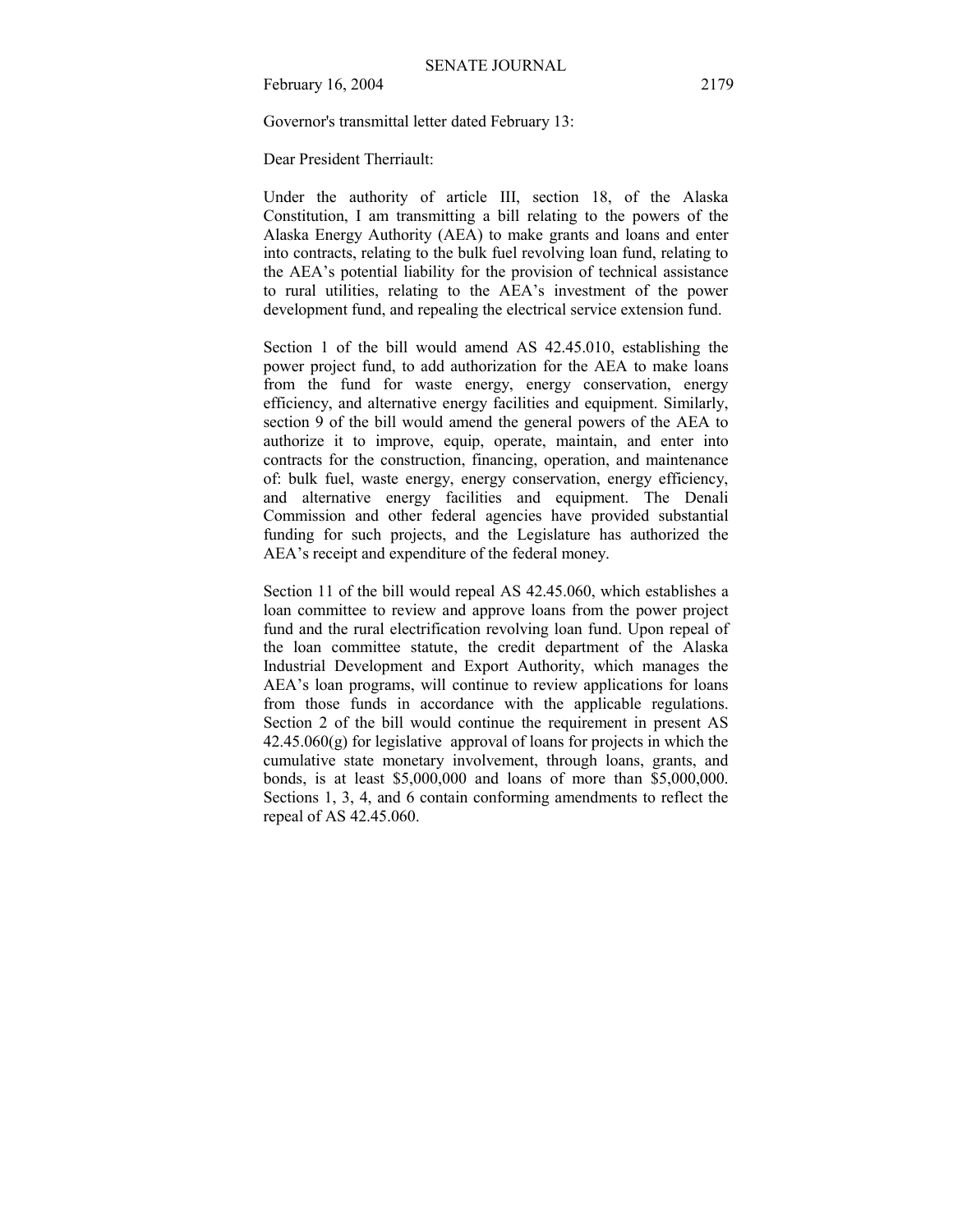Governor's transmittal letter dated February 13:

Dear President Therriault:

Under the authority of article III, section 18, of the Alaska Constitution, I am transmitting a bill relating to the powers of the Alaska Energy Authority (AEA) to make grants and loans and enter into contracts, relating to the bulk fuel revolving loan fund, relating to the AEAís potential liability for the provision of technical assistance to rural utilities, relating to the AEA's investment of the power development fund, and repealing the electrical service extension fund.

Section 1 of the bill would amend AS 42.45.010, establishing the power project fund, to add authorization for the AEA to make loans from the fund for waste energy, energy conservation, energy efficiency, and alternative energy facilities and equipment. Similarly, section 9 of the bill would amend the general powers of the AEA to authorize it to improve, equip, operate, maintain, and enter into contracts for the construction, financing, operation, and maintenance of: bulk fuel, waste energy, energy conservation, energy efficiency, and alternative energy facilities and equipment. The Denali Commission and other federal agencies have provided substantial funding for such projects, and the Legislature has authorized the AEA's receipt and expenditure of the federal money.

Section 11 of the bill would repeal AS 42.45.060, which establishes a loan committee to review and approve loans from the power project fund and the rural electrification revolving loan fund. Upon repeal of the loan committee statute, the credit department of the Alaska Industrial Development and Export Authority, which manages the AEA's loan programs, will continue to review applications for loans from those funds in accordance with the applicable regulations. Section 2 of the bill would continue the requirement in present AS 42.45.060(g) for legislative approval of loans for projects in which the cumulative state monetary involvement, through loans, grants, and bonds, is at least \$5,000,000 and loans of more than \$5,000,000. Sections 1, 3, 4, and 6 contain conforming amendments to reflect the repeal of AS 42.45.060.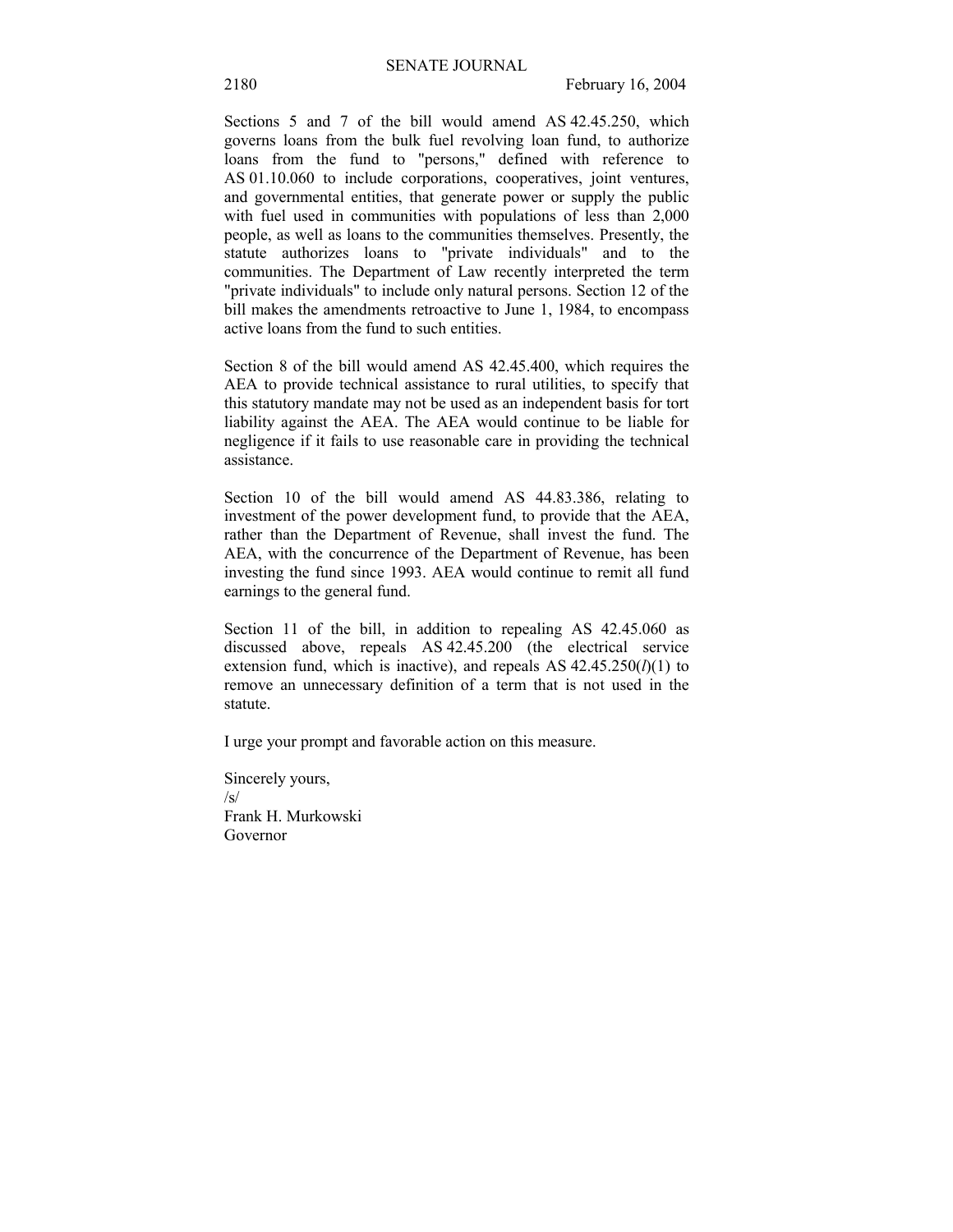Sections 5 and 7 of the bill would amend AS 42.45.250, which governs loans from the bulk fuel revolving loan fund, to authorize loans from the fund to "persons," defined with reference to AS 01.10.060 to include corporations, cooperatives, joint ventures, and governmental entities, that generate power or supply the public with fuel used in communities with populations of less than 2,000 people, as well as loans to the communities themselves. Presently, the statute authorizes loans to "private individuals" and to the communities. The Department of Law recently interpreted the term "private individuals" to include only natural persons. Section 12 of the bill makes the amendments retroactive to June 1, 1984, to encompass active loans from the fund to such entities.

Section 8 of the bill would amend AS 42.45.400, which requires the AEA to provide technical assistance to rural utilities, to specify that this statutory mandate may not be used as an independent basis for tort liability against the AEA. The AEA would continue to be liable for negligence if it fails to use reasonable care in providing the technical assistance.

Section 10 of the bill would amend AS 44.83.386, relating to investment of the power development fund, to provide that the AEA, rather than the Department of Revenue, shall invest the fund. The AEA, with the concurrence of the Department of Revenue, has been investing the fund since 1993. AEA would continue to remit all fund earnings to the general fund.

Section 11 of the bill, in addition to repealing AS 42.45.060 as discussed above, repeals AS 42.45.200 (the electrical service extension fund, which is inactive), and repeals AS  $42.45.250(l)(1)$  to remove an unnecessary definition of a term that is not used in the statute.

I urge your prompt and favorable action on this measure.

Sincerely yours, /s/ Frank H. Murkowski Governor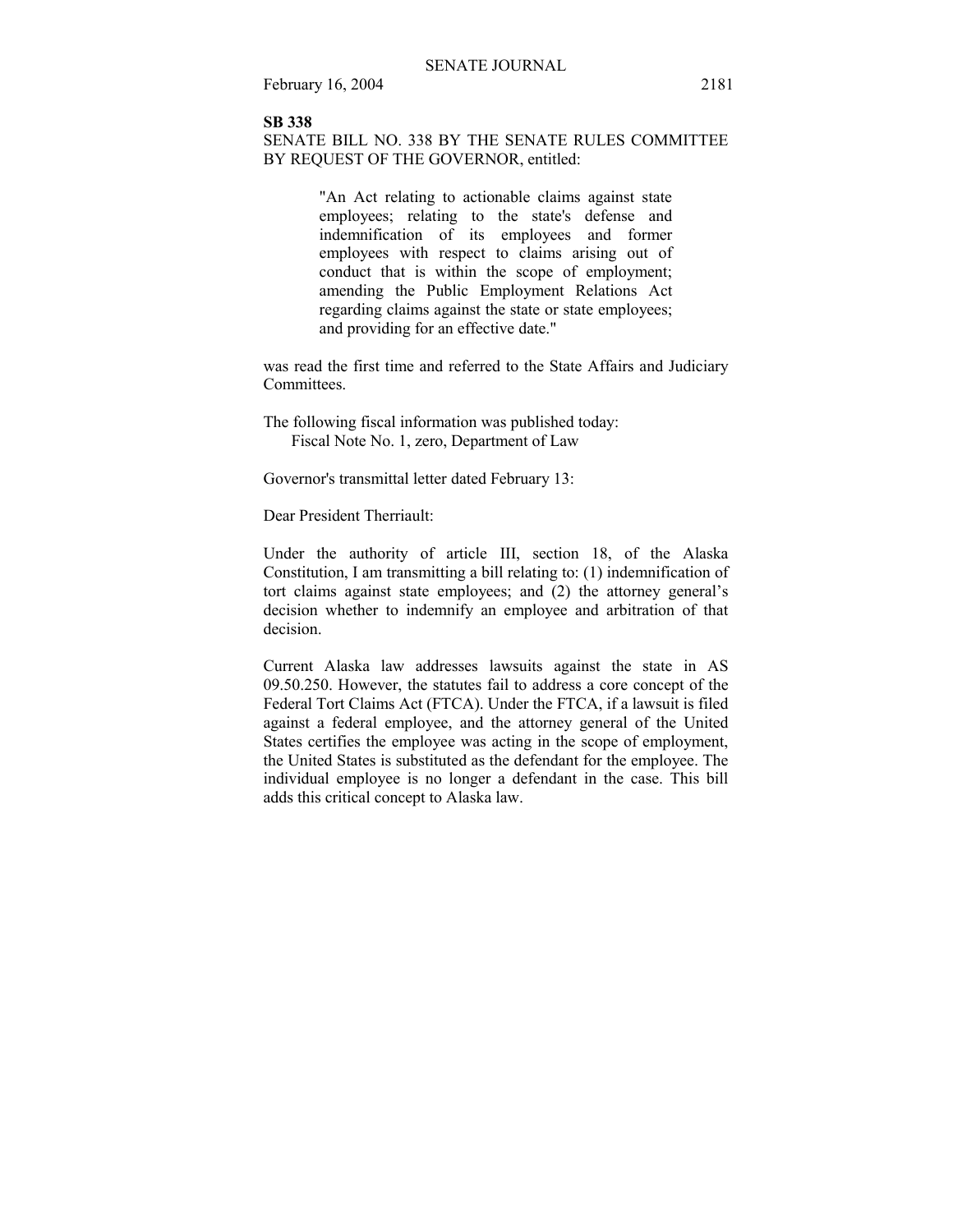#### **SB 338**

SENATE BILL NO. 338 BY THE SENATE RULES COMMITTEE BY REQUEST OF THE GOVERNOR, entitled:

> "An Act relating to actionable claims against state employees; relating to the state's defense and indemnification of its employees and former employees with respect to claims arising out of conduct that is within the scope of employment; amending the Public Employment Relations Act regarding claims against the state or state employees; and providing for an effective date."

was read the first time and referred to the State Affairs and Judiciary Committees.

The following fiscal information was published today: Fiscal Note No. 1, zero, Department of Law

Governor's transmittal letter dated February 13:

Dear President Therriault:

Under the authority of article III, section 18, of the Alaska Constitution, I am transmitting a bill relating to: (1) indemnification of tort claims against state employees; and  $(2)$  the attorney general's decision whether to indemnify an employee and arbitration of that decision.

Current Alaska law addresses lawsuits against the state in AS 09.50.250. However, the statutes fail to address a core concept of the Federal Tort Claims Act (FTCA). Under the FTCA, if a lawsuit is filed against a federal employee, and the attorney general of the United States certifies the employee was acting in the scope of employment, the United States is substituted as the defendant for the employee. The individual employee is no longer a defendant in the case. This bill adds this critical concept to Alaska law.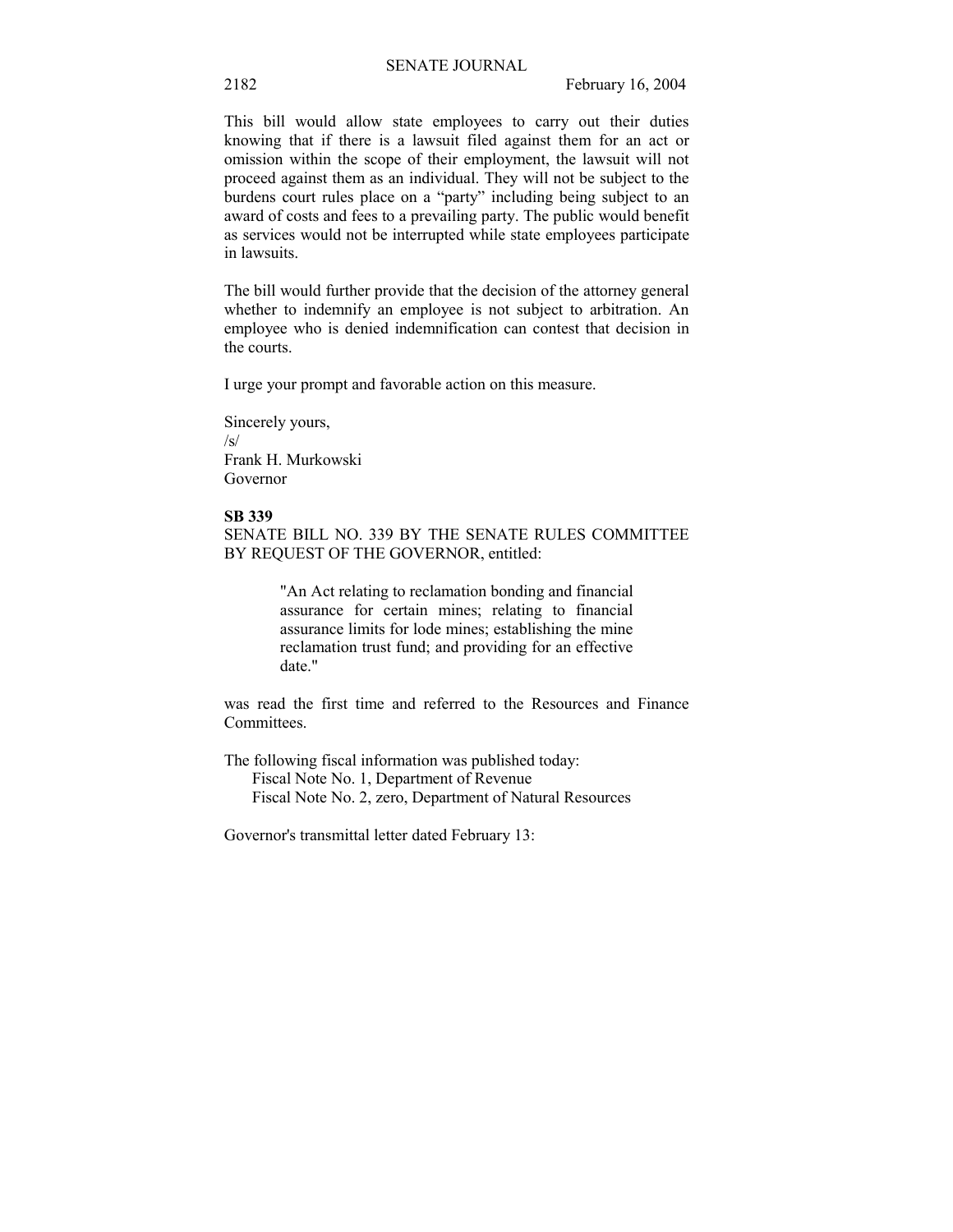This bill would allow state employees to carry out their duties knowing that if there is a lawsuit filed against them for an act or omission within the scope of their employment, the lawsuit will not proceed against them as an individual. They will not be subject to the burdens court rules place on a "party" including being subject to an award of costs and fees to a prevailing party. The public would benefit as services would not be interrupted while state employees participate in lawsuits.

The bill would further provide that the decision of the attorney general whether to indemnify an employee is not subject to arbitration. An employee who is denied indemnification can contest that decision in the courts.

I urge your prompt and favorable action on this measure.

Sincerely yours, /s/ Frank H. Murkowski Governor

### **SB 339**

SENATE BILL NO. 339 BY THE SENATE RULES COMMITTEE BY REQUEST OF THE GOVERNOR, entitled:

> "An Act relating to reclamation bonding and financial assurance for certain mines; relating to financial assurance limits for lode mines; establishing the mine reclamation trust fund; and providing for an effective date."

was read the first time and referred to the Resources and Finance Committees.

The following fiscal information was published today: Fiscal Note No. 1, Department of Revenue Fiscal Note No. 2, zero, Department of Natural Resources

Governor's transmittal letter dated February 13: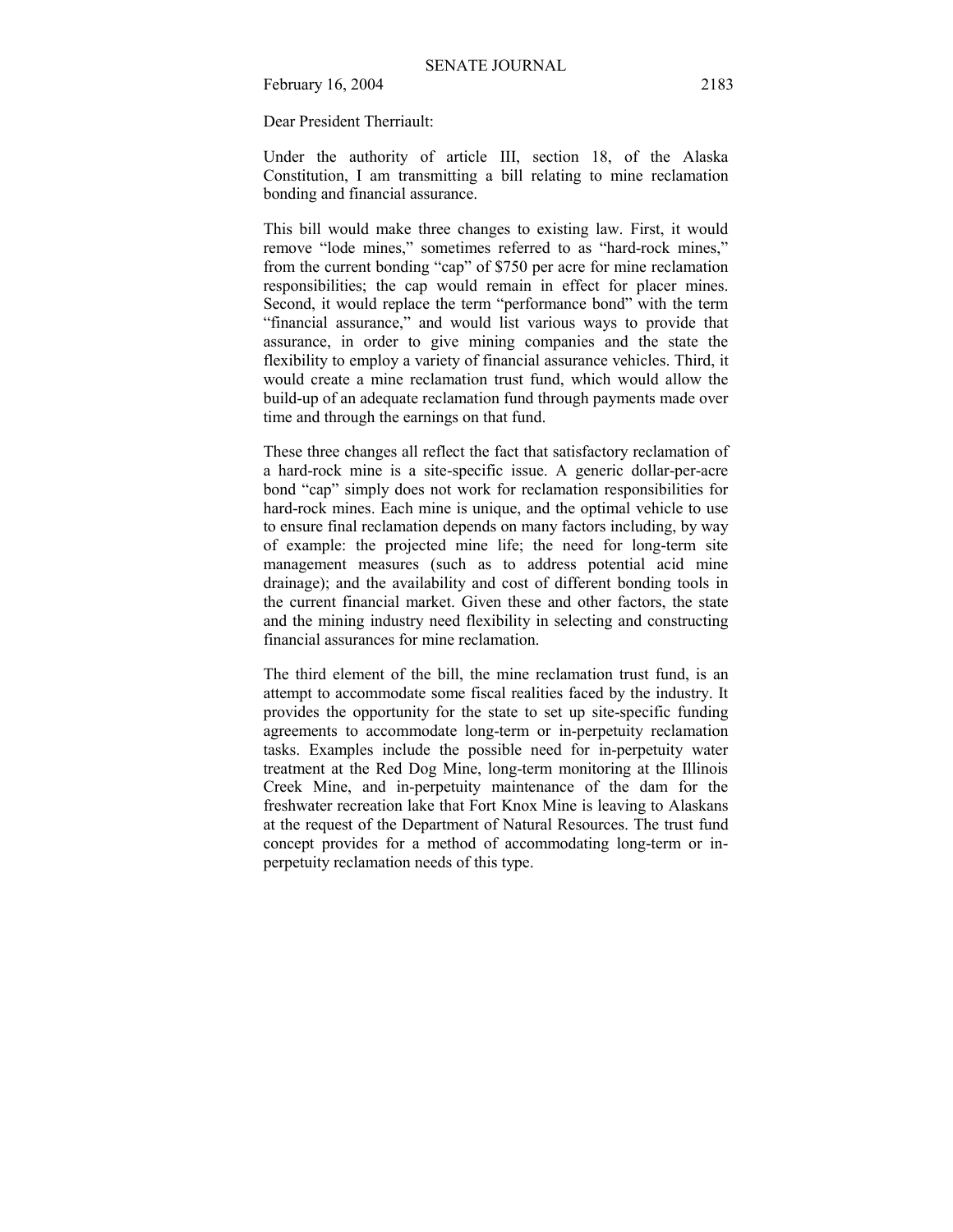Dear President Therriault:

Under the authority of article III, section 18, of the Alaska Constitution, I am transmitting a bill relating to mine reclamation bonding and financial assurance.

This bill would make three changes to existing law. First, it would remove "lode mines," sometimes referred to as "hard-rock mines," from the current bonding "cap" of \$750 per acre for mine reclamation responsibilities; the cap would remain in effect for placer mines. Second, it would replace the term "performance bond" with the term "financial assurance," and would list various ways to provide that assurance, in order to give mining companies and the state the flexibility to employ a variety of financial assurance vehicles. Third, it would create a mine reclamation trust fund, which would allow the build-up of an adequate reclamation fund through payments made over time and through the earnings on that fund.

These three changes all reflect the fact that satisfactory reclamation of a hard-rock mine is a site-specific issue. A generic dollar-per-acre bond "cap" simply does not work for reclamation responsibilities for hard-rock mines. Each mine is unique, and the optimal vehicle to use to ensure final reclamation depends on many factors including, by way of example: the projected mine life; the need for long-term site management measures (such as to address potential acid mine drainage); and the availability and cost of different bonding tools in the current financial market. Given these and other factors, the state and the mining industry need flexibility in selecting and constructing financial assurances for mine reclamation.

The third element of the bill, the mine reclamation trust fund, is an attempt to accommodate some fiscal realities faced by the industry. It provides the opportunity for the state to set up site-specific funding agreements to accommodate long-term or in-perpetuity reclamation tasks. Examples include the possible need for in-perpetuity water treatment at the Red Dog Mine, long-term monitoring at the Illinois Creek Mine, and in-perpetuity maintenance of the dam for the freshwater recreation lake that Fort Knox Mine is leaving to Alaskans at the request of the Department of Natural Resources. The trust fund concept provides for a method of accommodating long-term or inperpetuity reclamation needs of this type.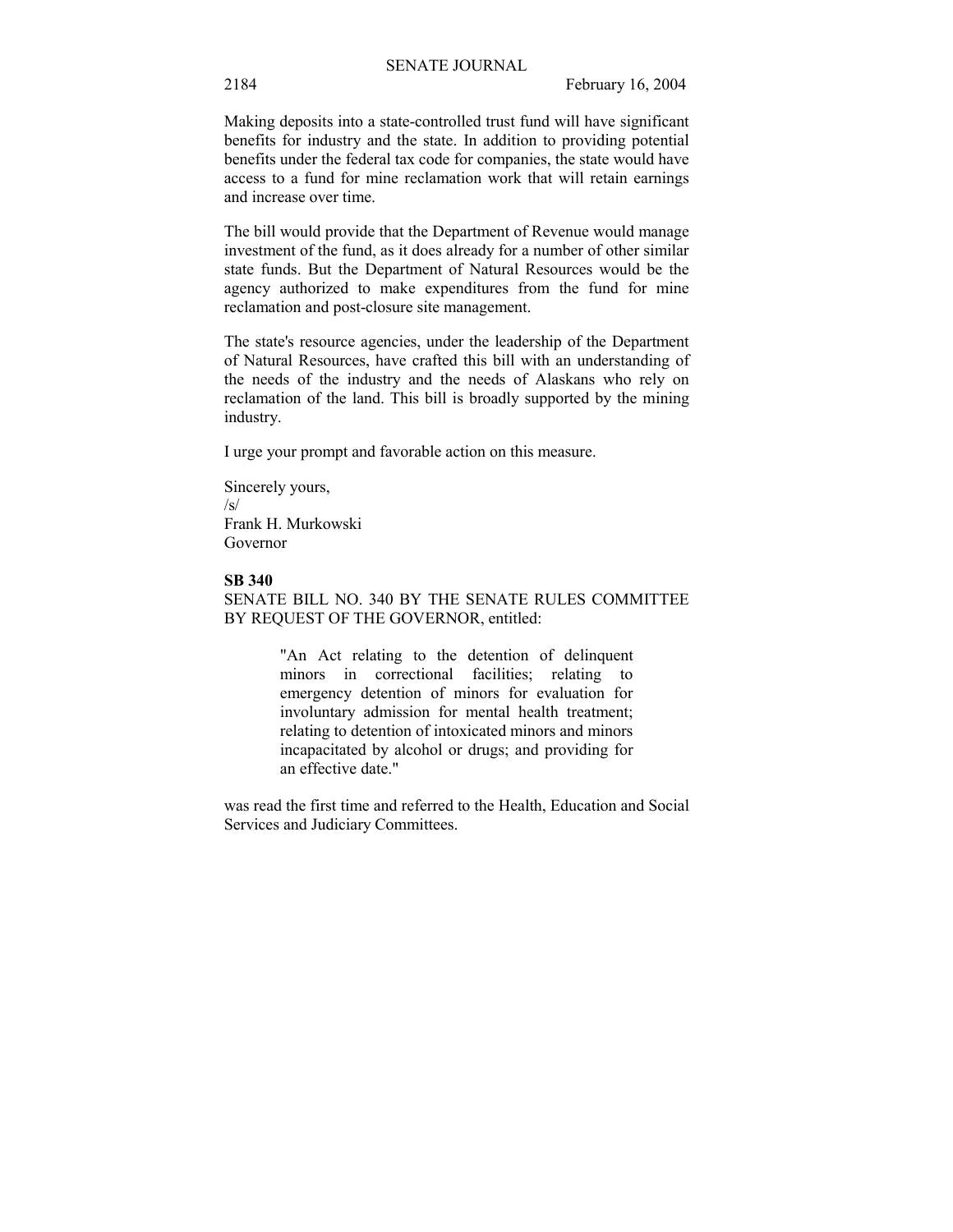Making deposits into a state-controlled trust fund will have significant benefits for industry and the state. In addition to providing potential benefits under the federal tax code for companies, the state would have access to a fund for mine reclamation work that will retain earnings and increase over time.

The bill would provide that the Department of Revenue would manage investment of the fund, as it does already for a number of other similar state funds. But the Department of Natural Resources would be the agency authorized to make expenditures from the fund for mine reclamation and post-closure site management.

The state's resource agencies, under the leadership of the Department of Natural Resources, have crafted this bill with an understanding of the needs of the industry and the needs of Alaskans who rely on reclamation of the land. This bill is broadly supported by the mining industry.

I urge your prompt and favorable action on this measure.

Sincerely yours, /s/ Frank H. Murkowski Governor

### **SB 340**

SENATE BILL NO. 340 BY THE SENATE RULES COMMITTEE BY REQUEST OF THE GOVERNOR, entitled:

> "An Act relating to the detention of delinquent minors in correctional facilities; relating to emergency detention of minors for evaluation for involuntary admission for mental health treatment; relating to detention of intoxicated minors and minors incapacitated by alcohol or drugs; and providing for an effective date."

was read the first time and referred to the Health, Education and Social Services and Judiciary Committees.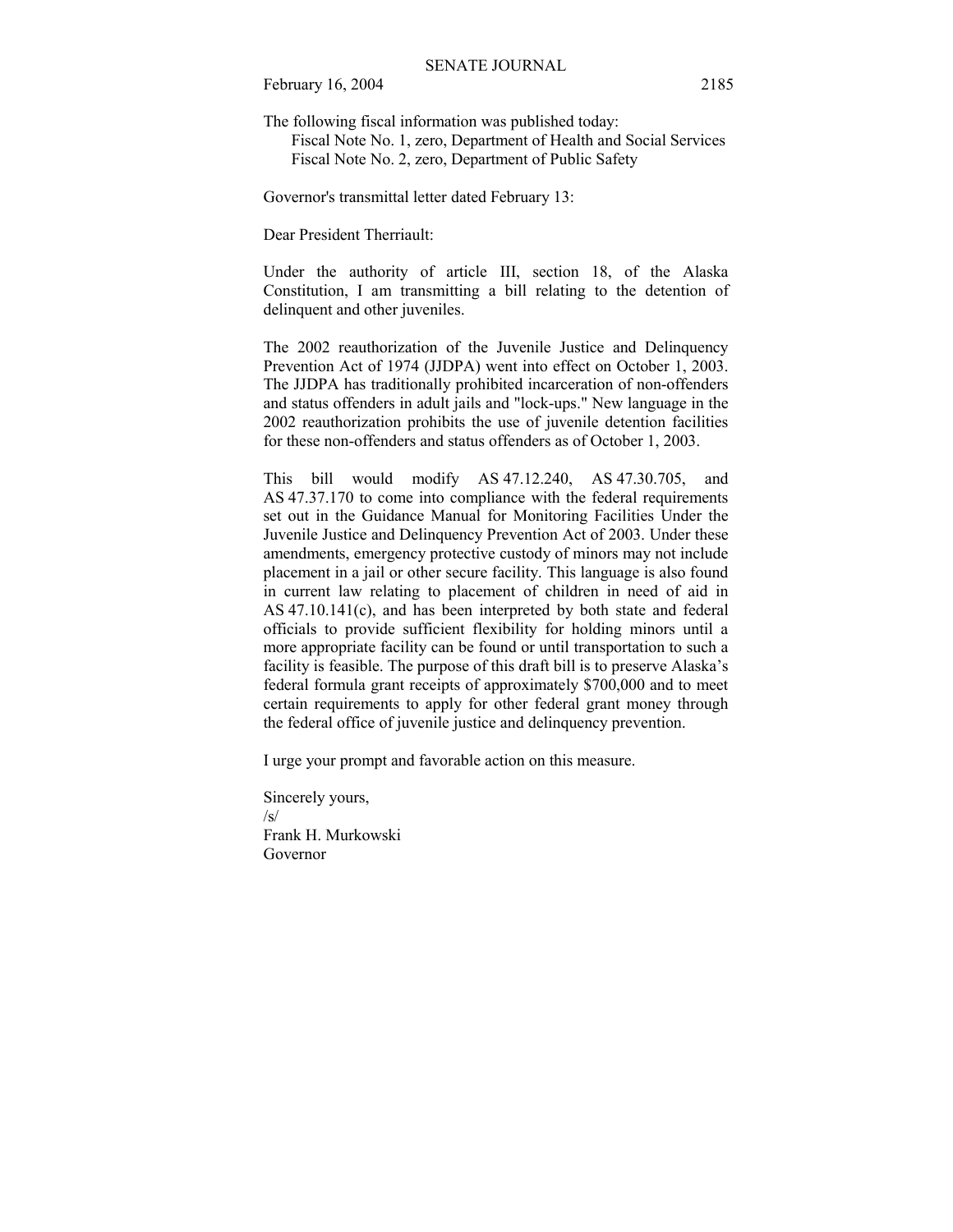The following fiscal information was published today:

 Fiscal Note No. 1, zero, Department of Health and Social Services Fiscal Note No. 2, zero, Department of Public Safety

Governor's transmittal letter dated February 13:

Dear President Therriault:

Under the authority of article III, section 18, of the Alaska Constitution, I am transmitting a bill relating to the detention of delinquent and other juveniles.

The 2002 reauthorization of the Juvenile Justice and Delinquency Prevention Act of 1974 (JJDPA) went into effect on October 1, 2003. The JJDPA has traditionally prohibited incarceration of non-offenders and status offenders in adult jails and "lock-ups." New language in the 2002 reauthorization prohibits the use of juvenile detention facilities for these non-offenders and status offenders as of October 1, 2003.

This bill would modify AS 47.12.240, AS 47.30.705, and AS 47.37.170 to come into compliance with the federal requirements set out in the Guidance Manual for Monitoring Facilities Under the Juvenile Justice and Delinquency Prevention Act of 2003. Under these amendments, emergency protective custody of minors may not include placement in a jail or other secure facility. This language is also found in current law relating to placement of children in need of aid in AS 47.10.141(c), and has been interpreted by both state and federal officials to provide sufficient flexibility for holding minors until a more appropriate facility can be found or until transportation to such a facility is feasible. The purpose of this draft bill is to preserve Alaska's federal formula grant receipts of approximately \$700,000 and to meet certain requirements to apply for other federal grant money through the federal office of juvenile justice and delinquency prevention.

I urge your prompt and favorable action on this measure.

Sincerely yours, /s/ Frank H. Murkowski Governor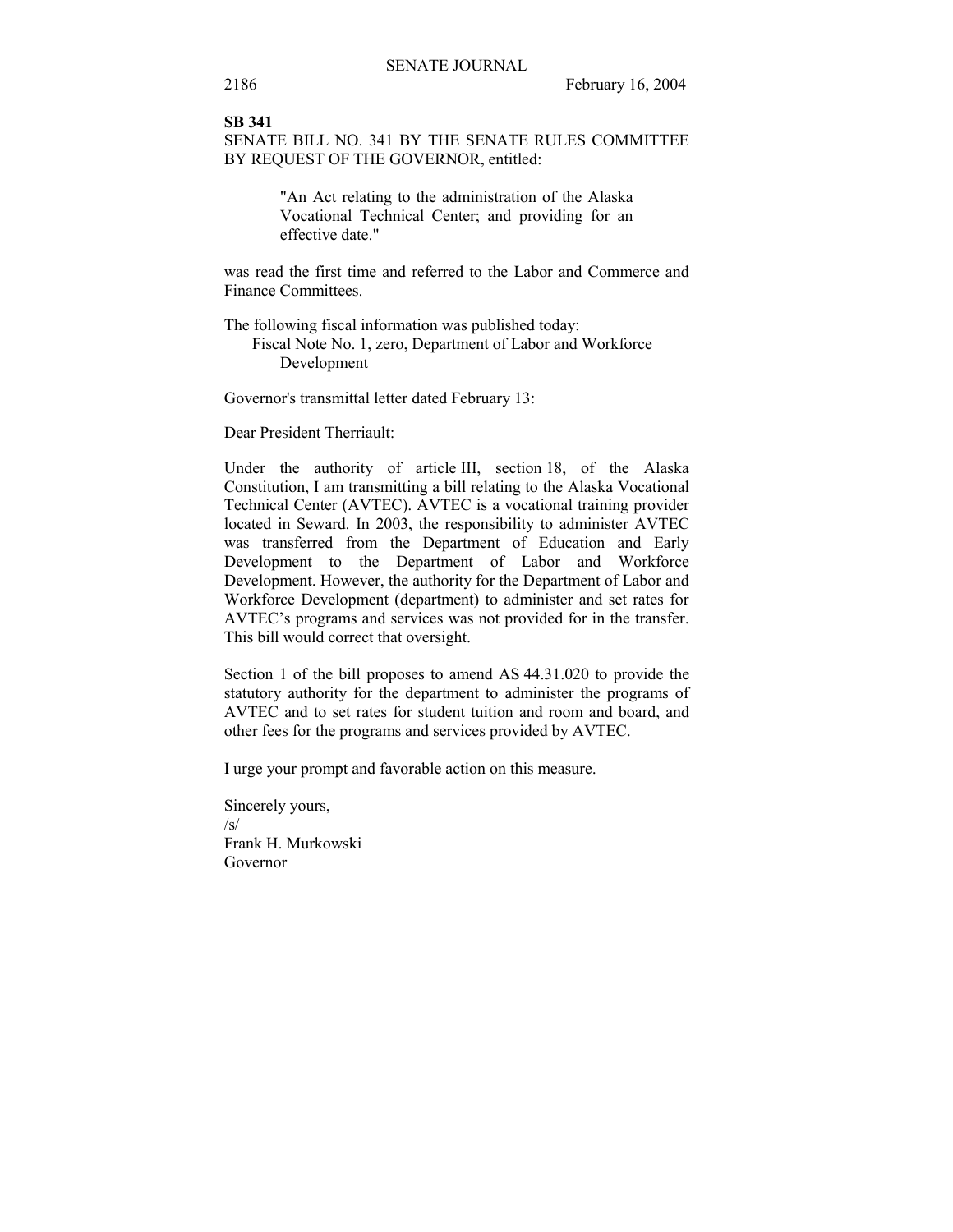#### **SB 341**

SENATE BILL NO. 341 BY THE SENATE RULES COMMITTEE BY REQUEST OF THE GOVERNOR, entitled:

> "An Act relating to the administration of the Alaska Vocational Technical Center; and providing for an effective date."

was read the first time and referred to the Labor and Commerce and Finance Committees.

The following fiscal information was published today:

 Fiscal Note No. 1, zero, Department of Labor and Workforce Development

Governor's transmittal letter dated February 13:

Dear President Therriault:

Under the authority of article III, section 18, of the Alaska Constitution, I am transmitting a bill relating to the Alaska Vocational Technical Center (AVTEC). AVTEC is a vocational training provider located in Seward. In 2003, the responsibility to administer AVTEC was transferred from the Department of Education and Early Development to the Department of Labor and Workforce Development. However, the authority for the Department of Labor and Workforce Development (department) to administer and set rates for AVTEC's programs and services was not provided for in the transfer. This bill would correct that oversight.

Section 1 of the bill proposes to amend AS 44.31.020 to provide the statutory authority for the department to administer the programs of AVTEC and to set rates for student tuition and room and board, and other fees for the programs and services provided by AVTEC.

I urge your prompt and favorable action on this measure.

Sincerely yours,  $\sqrt{s}$ Frank H. Murkowski Governor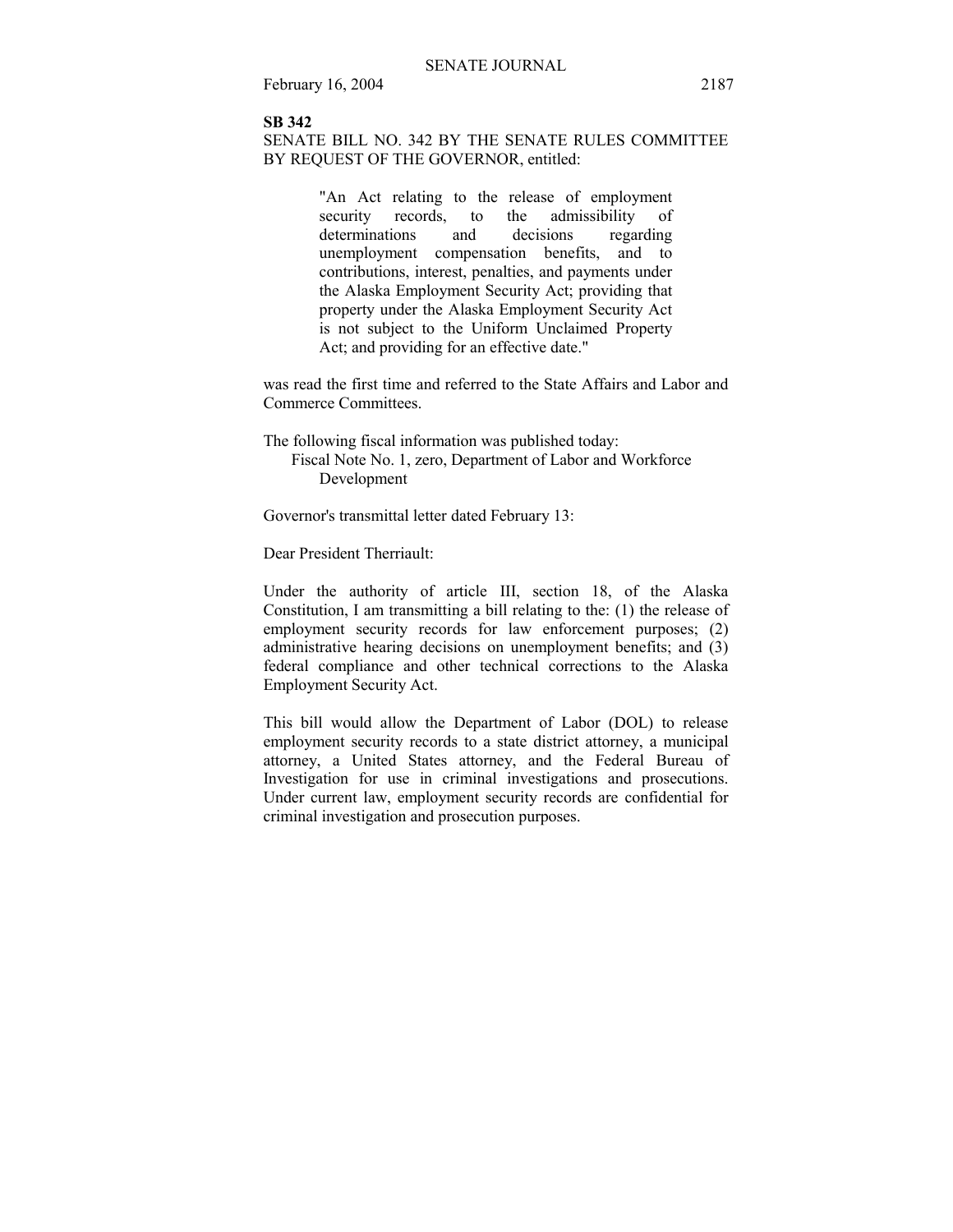### **SB 342**

SENATE BILL NO. 342 BY THE SENATE RULES COMMITTEE BY REQUEST OF THE GOVERNOR, entitled:

> "An Act relating to the release of employment<br>security records, to the admissibility of security records, to the admissibility of determinations and decisions regarding unemployment compensation benefits, and to contributions, interest, penalties, and payments under the Alaska Employment Security Act; providing that property under the Alaska Employment Security Act is not subject to the Uniform Unclaimed Property Act; and providing for an effective date."

was read the first time and referred to the State Affairs and Labor and Commerce Committees.

The following fiscal information was published today: Fiscal Note No. 1, zero, Department of Labor and Workforce Development

Governor's transmittal letter dated February 13:

Dear President Therriault:

Under the authority of article III, section 18, of the Alaska Constitution, I am transmitting a bill relating to the: (1) the release of employment security records for law enforcement purposes; (2) administrative hearing decisions on unemployment benefits; and (3) federal compliance and other technical corrections to the Alaska Employment Security Act.

This bill would allow the Department of Labor (DOL) to release employment security records to a state district attorney, a municipal attorney, a United States attorney, and the Federal Bureau of Investigation for use in criminal investigations and prosecutions. Under current law, employment security records are confidential for criminal investigation and prosecution purposes.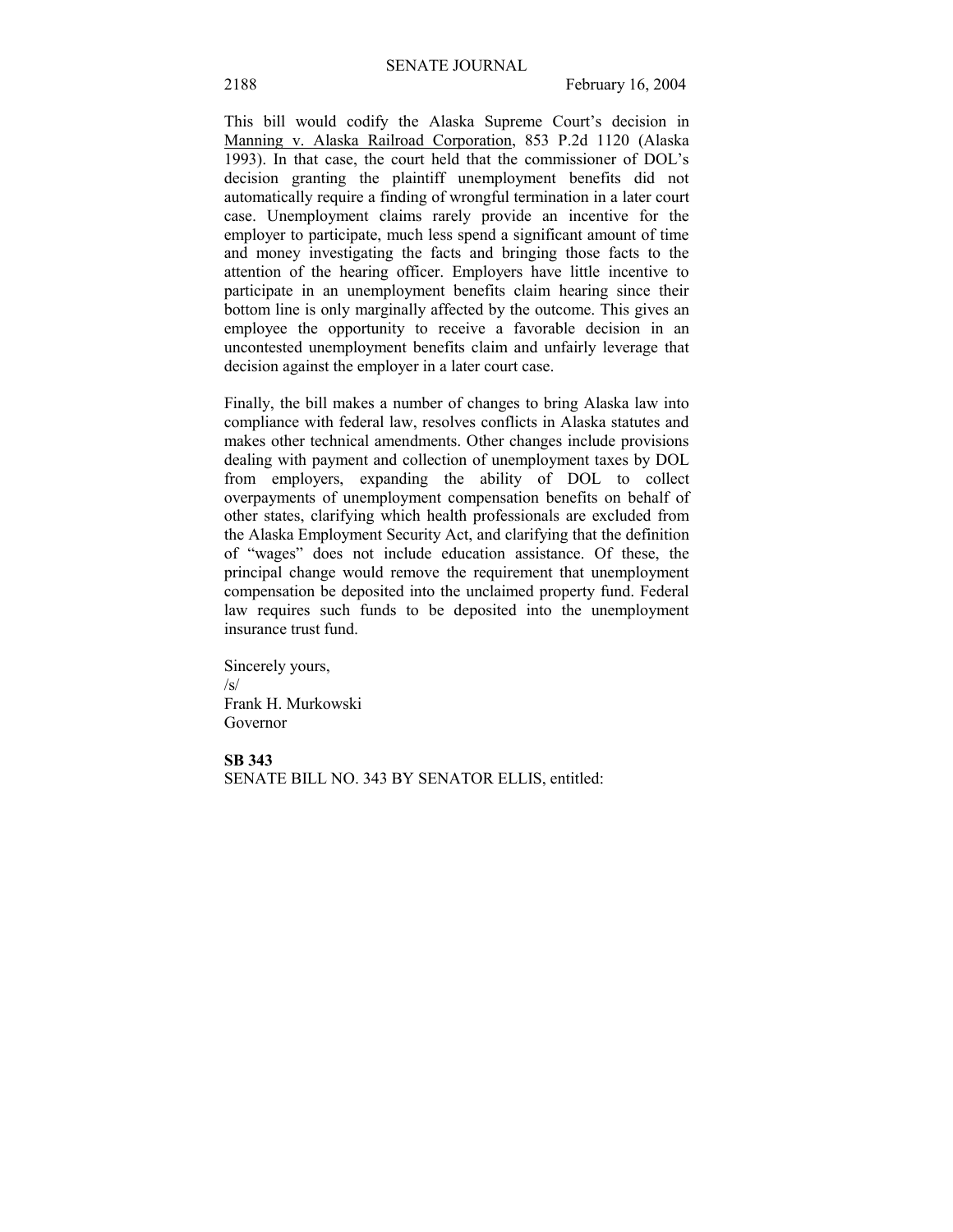This bill would codify the Alaska Supreme Court's decision in Manning v. Alaska Railroad Corporation, 853 P.2d 1120 (Alaska 1993). In that case, the court held that the commissioner of DOL's decision granting the plaintiff unemployment benefits did not automatically require a finding of wrongful termination in a later court case. Unemployment claims rarely provide an incentive for the employer to participate, much less spend a significant amount of time and money investigating the facts and bringing those facts to the attention of the hearing officer. Employers have little incentive to participate in an unemployment benefits claim hearing since their bottom line is only marginally affected by the outcome. This gives an employee the opportunity to receive a favorable decision in an uncontested unemployment benefits claim and unfairly leverage that decision against the employer in a later court case.

Finally, the bill makes a number of changes to bring Alaska law into compliance with federal law, resolves conflicts in Alaska statutes and makes other technical amendments. Other changes include provisions dealing with payment and collection of unemployment taxes by DOL from employers, expanding the ability of DOL to collect overpayments of unemployment compensation benefits on behalf of other states, clarifying which health professionals are excluded from the Alaska Employment Security Act, and clarifying that the definition of "wages" does not include education assistance. Of these, the principal change would remove the requirement that unemployment compensation be deposited into the unclaimed property fund. Federal law requires such funds to be deposited into the unemployment insurance trust fund.

Sincerely yours, /s/ Frank H. Murkowski Governor

#### **SB 343**

SENATE BILL NO. 343 BY SENATOR ELLIS, entitled: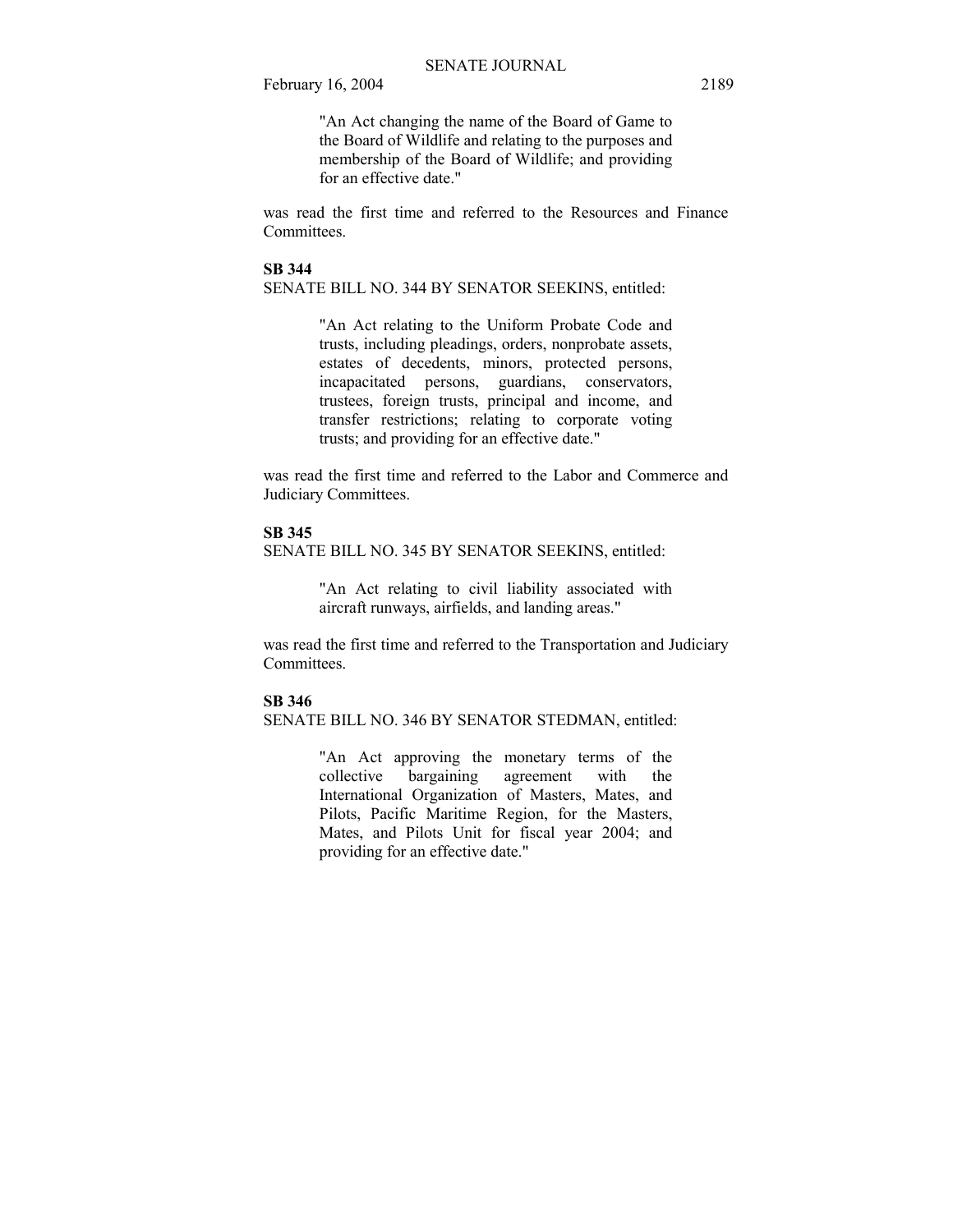"An Act changing the name of the Board of Game to the Board of Wildlife and relating to the purposes and membership of the Board of Wildlife; and providing for an effective date."

was read the first time and referred to the Resources and Finance **Committees** 

### **SB 344**

SENATE BILL NO. 344 BY SENATOR SEEKINS, entitled:

"An Act relating to the Uniform Probate Code and trusts, including pleadings, orders, nonprobate assets, estates of decedents, minors, protected persons, incapacitated persons, guardians, conservators, trustees, foreign trusts, principal and income, and transfer restrictions; relating to corporate voting trusts; and providing for an effective date."

was read the first time and referred to the Labor and Commerce and Judiciary Committees.

#### **SB 345**

SENATE BILL NO. 345 BY SENATOR SEEKINS, entitled:

"An Act relating to civil liability associated with aircraft runways, airfields, and landing areas."

was read the first time and referred to the Transportation and Judiciary **Committees** 

### **SB 346**

SENATE BILL NO. 346 BY SENATOR STEDMAN, entitled:

"An Act approving the monetary terms of the collective bargaining agreement with the International Organization of Masters, Mates, and Pilots, Pacific Maritime Region, for the Masters, Mates, and Pilots Unit for fiscal year 2004; and providing for an effective date."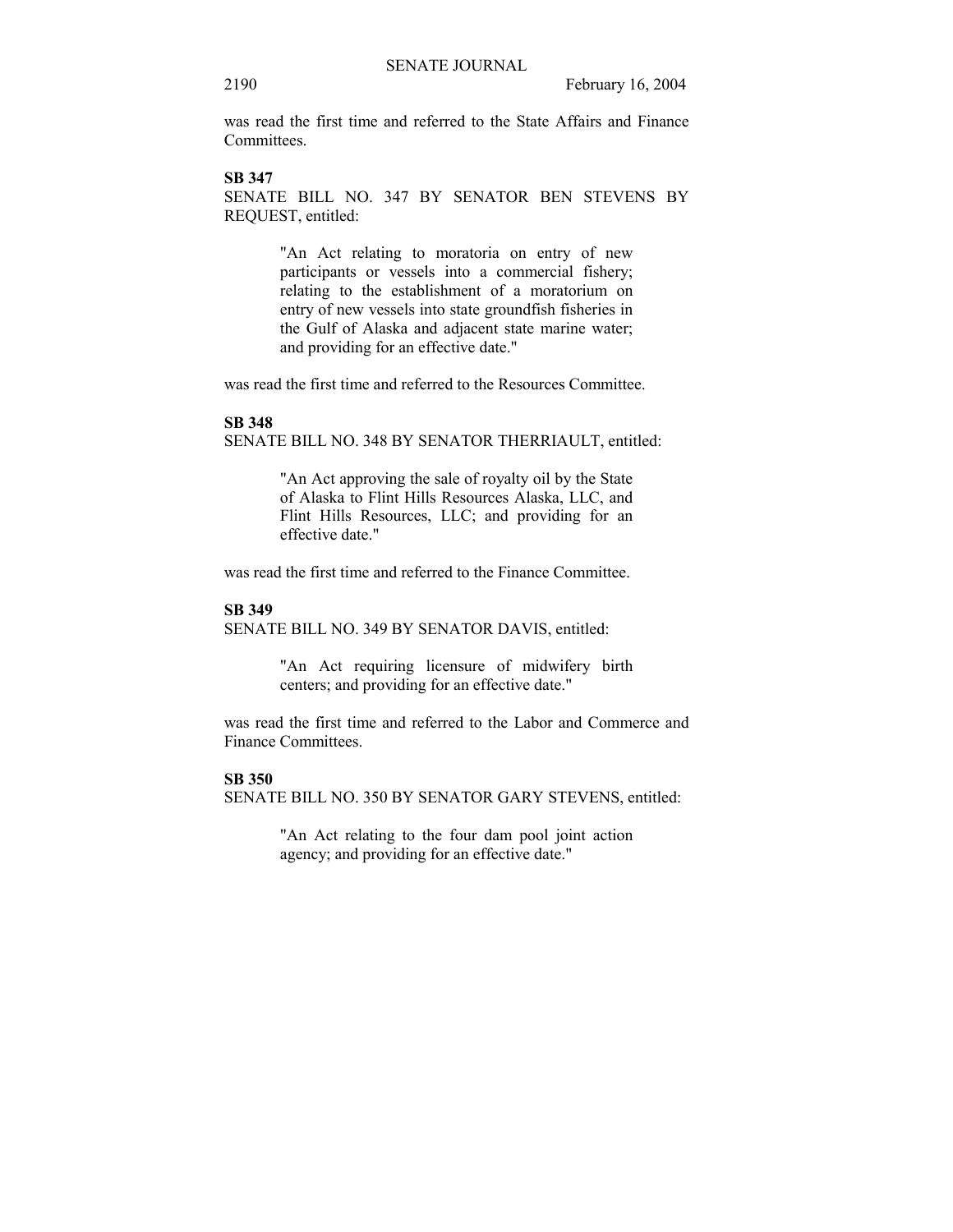was read the first time and referred to the State Affairs and Finance **Committees** 

### **SB 347**

SENATE BILL NO. 347 BY SENATOR BEN STEVENS BY REQUEST, entitled:

> "An Act relating to moratoria on entry of new participants or vessels into a commercial fishery; relating to the establishment of a moratorium on entry of new vessels into state groundfish fisheries in the Gulf of Alaska and adjacent state marine water; and providing for an effective date."

was read the first time and referred to the Resources Committee.

#### **SB 348**

SENATE BILL NO. 348 BY SENATOR THERRIAULT, entitled:

"An Act approving the sale of royalty oil by the State of Alaska to Flint Hills Resources Alaska, LLC, and Flint Hills Resources, LLC; and providing for an effective date."

was read the first time and referred to the Finance Committee.

#### **SB 349**

SENATE BILL NO. 349 BY SENATOR DAVIS, entitled:

"An Act requiring licensure of midwifery birth centers; and providing for an effective date."

was read the first time and referred to the Labor and Commerce and Finance Committees.

#### **SB 350**

SENATE BILL NO. 350 BY SENATOR GARY STEVENS, entitled:

"An Act relating to the four dam pool joint action agency; and providing for an effective date."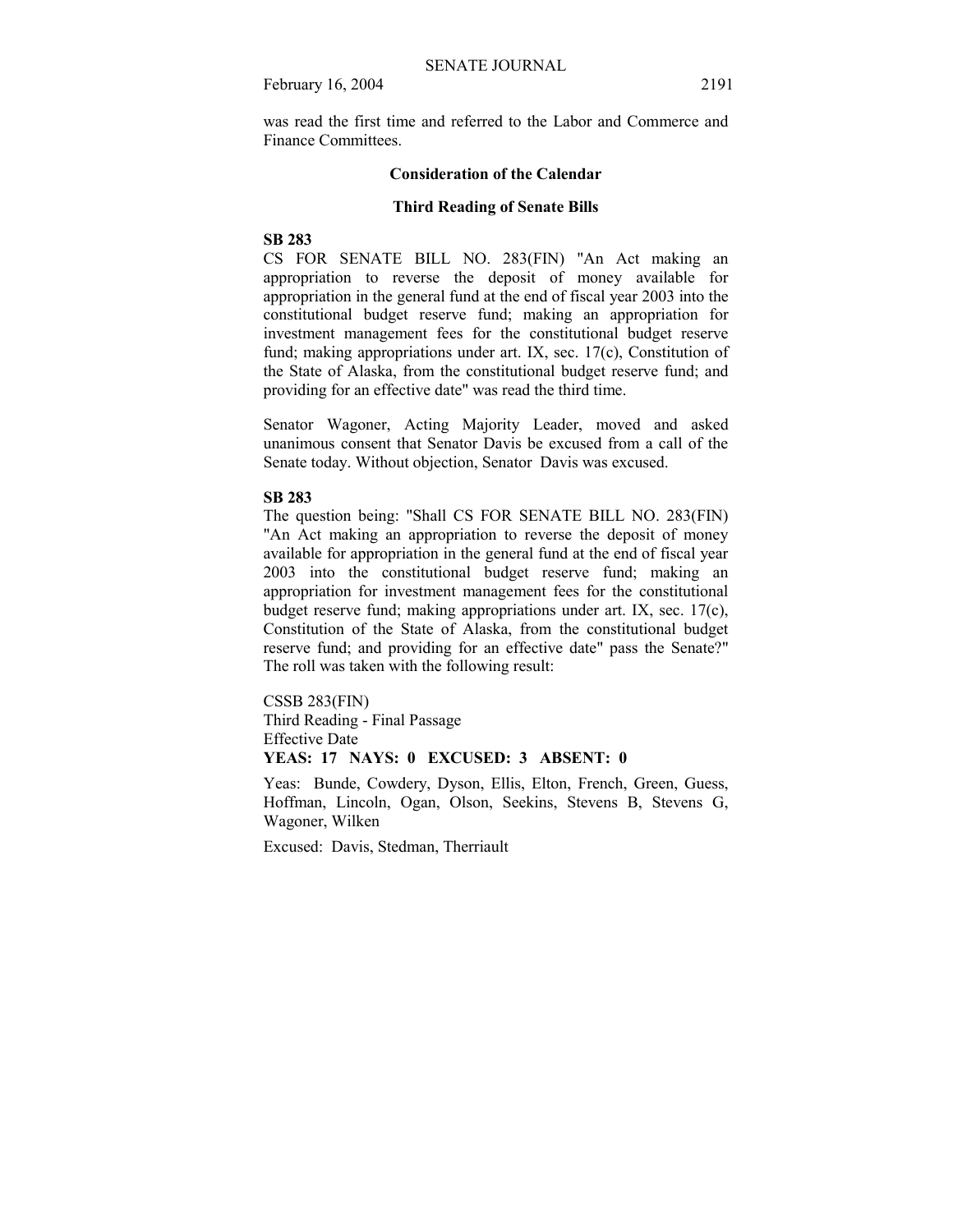was read the first time and referred to the Labor and Commerce and Finance Committees.

#### **Consideration of the Calendar**

#### **Third Reading of Senate Bills**

### **SB 283**

CS FOR SENATE BILL NO. 283(FIN) "An Act making an appropriation to reverse the deposit of money available for appropriation in the general fund at the end of fiscal year 2003 into the constitutional budget reserve fund; making an appropriation for investment management fees for the constitutional budget reserve fund; making appropriations under art. IX, sec. 17(c), Constitution of the State of Alaska, from the constitutional budget reserve fund; and providing for an effective date" was read the third time.

Senator Wagoner, Acting Majority Leader, moved and asked unanimous consent that Senator Davis be excused from a call of the Senate today. Without objection, Senator Davis was excused.

#### **SB 283**

The question being: "Shall CS FOR SENATE BILL NO. 283(FIN) "An Act making an appropriation to reverse the deposit of money available for appropriation in the general fund at the end of fiscal year 2003 into the constitutional budget reserve fund; making an appropriation for investment management fees for the constitutional budget reserve fund; making appropriations under art. IX, sec. 17(c), Constitution of the State of Alaska, from the constitutional budget reserve fund; and providing for an effective date" pass the Senate?" The roll was taken with the following result:

CSSB 283(FIN) Third Reading - Final Passage Effective Date **YEAS: 17 NAYS: 0 EXCUSED: 3 ABSENT: 0** 

Yeas: Bunde, Cowdery, Dyson, Ellis, Elton, French, Green, Guess,

Hoffman, Lincoln, Ogan, Olson, Seekins, Stevens B, Stevens G, Wagoner, Wilken

Excused: Davis, Stedman, Therriault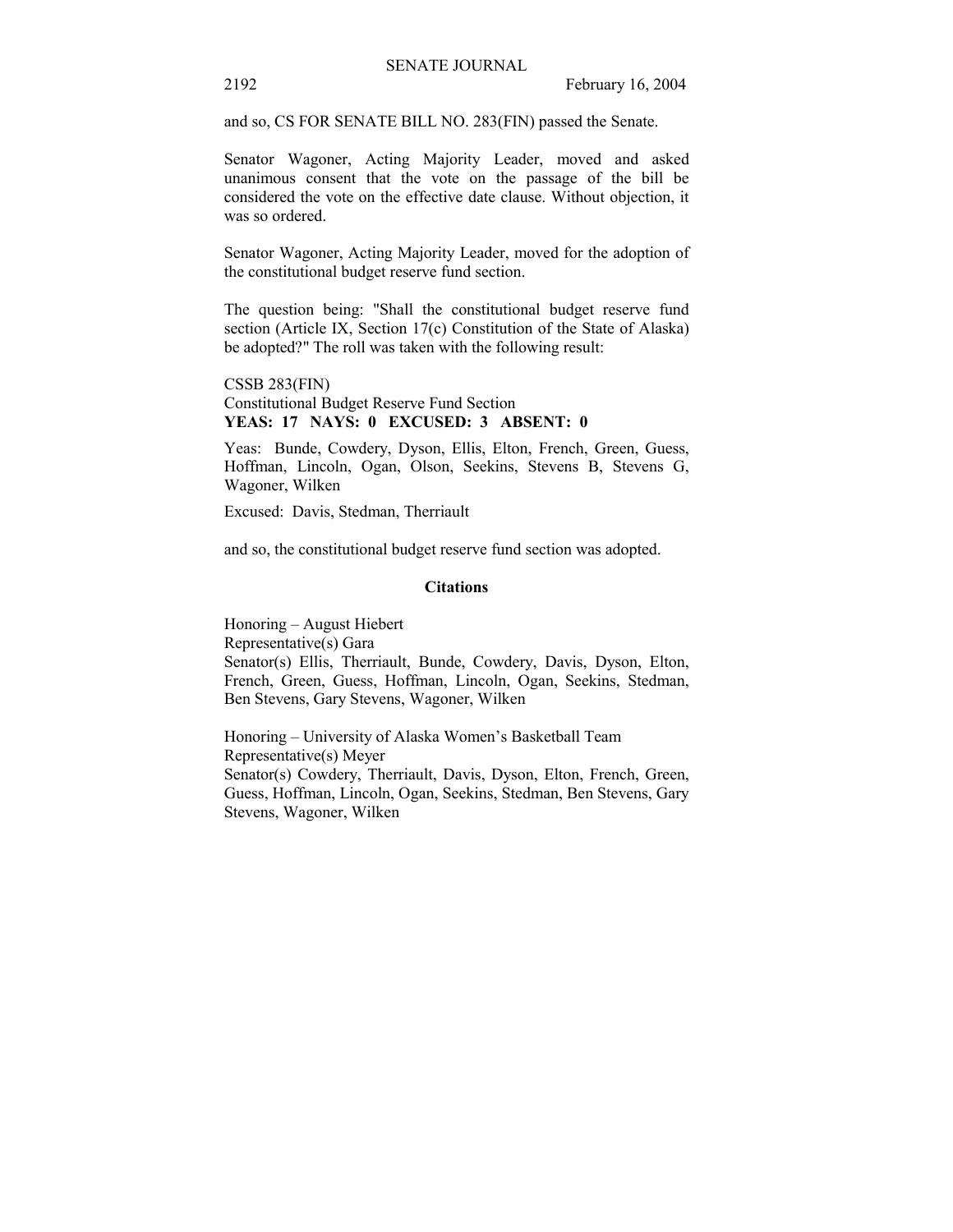and so, CS FOR SENATE BILL NO. 283(FIN) passed the Senate.

Senator Wagoner, Acting Majority Leader, moved and asked unanimous consent that the vote on the passage of the bill be considered the vote on the effective date clause. Without objection, it was so ordered.

Senator Wagoner, Acting Majority Leader, moved for the adoption of the constitutional budget reserve fund section.

The question being: "Shall the constitutional budget reserve fund section (Article IX, Section 17(c) Constitution of the State of Alaska) be adopted?" The roll was taken with the following result:

CSSB 283(FIN) Constitutional Budget Reserve Fund Section **YEAS: 17 NAYS: 0 EXCUSED: 3 ABSENT: 0** 

Yeas: Bunde, Cowdery, Dyson, Ellis, Elton, French, Green, Guess, Hoffman, Lincoln, Ogan, Olson, Seekins, Stevens B, Stevens G, Wagoner, Wilken

Excused: Davis, Stedman, Therriault

and so, the constitutional budget reserve fund section was adopted.

#### **Citations**

Honoring - August Hiebert Representative(s) Gara Senator(s) Ellis, Therriault, Bunde, Cowdery, Davis, Dyson, Elton, French, Green, Guess, Hoffman, Lincoln, Ogan, Seekins, Stedman, Ben Stevens, Gary Stevens, Wagoner, Wilken

Honoring - University of Alaska Women's Basketball Team Representative(s) Meyer Senator(s) Cowdery, Therriault, Davis, Dyson, Elton, French, Green, Guess, Hoffman, Lincoln, Ogan, Seekins, Stedman, Ben Stevens, Gary Stevens, Wagoner, Wilken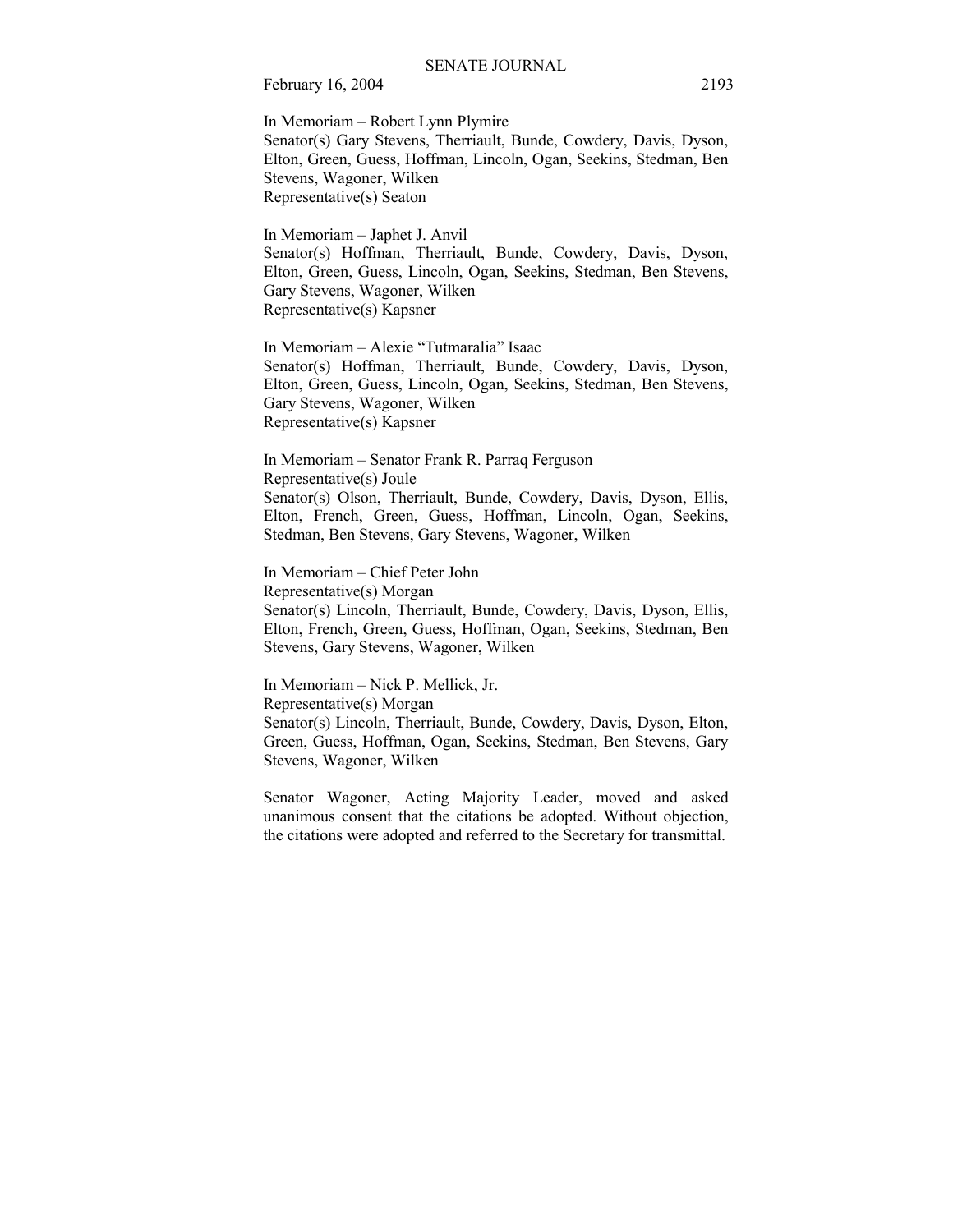In Memoriam – Robert Lynn Plymire Senator(s) Gary Stevens, Therriault, Bunde, Cowdery, Davis, Dyson, Elton, Green, Guess, Hoffman, Lincoln, Ogan, Seekins, Stedman, Ben Stevens, Wagoner, Wilken Representative(s) Seaton

In Memoriam – Japhet J. Anvil Senator(s) Hoffman, Therriault, Bunde, Cowdery, Davis, Dyson, Elton, Green, Guess, Lincoln, Ogan, Seekins, Stedman, Ben Stevens, Gary Stevens, Wagoner, Wilken Representative(s) Kapsner

In Memoriam - Alexie "Tutmaralia" Isaac Senator(s) Hoffman, Therriault, Bunde, Cowdery, Davis, Dyson, Elton, Green, Guess, Lincoln, Ogan, Seekins, Stedman, Ben Stevens, Gary Stevens, Wagoner, Wilken Representative(s) Kapsner

In Memoriam – Senator Frank R. Parraq Ferguson Representative(s) Joule Senator(s) Olson, Therriault, Bunde, Cowdery, Davis, Dyson, Ellis, Elton, French, Green, Guess, Hoffman, Lincoln, Ogan, Seekins, Stedman, Ben Stevens, Gary Stevens, Wagoner, Wilken

In Memoriam – Chief Peter John Representative(s) Morgan Senator(s) Lincoln, Therriault, Bunde, Cowdery, Davis, Dyson, Ellis, Elton, French, Green, Guess, Hoffman, Ogan, Seekins, Stedman, Ben Stevens, Gary Stevens, Wagoner, Wilken

In Memoriam – Nick P. Mellick, Jr. Representative(s) Morgan Senator(s) Lincoln, Therriault, Bunde, Cowdery, Davis, Dyson, Elton, Green, Guess, Hoffman, Ogan, Seekins, Stedman, Ben Stevens, Gary Stevens, Wagoner, Wilken

Senator Wagoner, Acting Majority Leader, moved and asked unanimous consent that the citations be adopted. Without objection, the citations were adopted and referred to the Secretary for transmittal.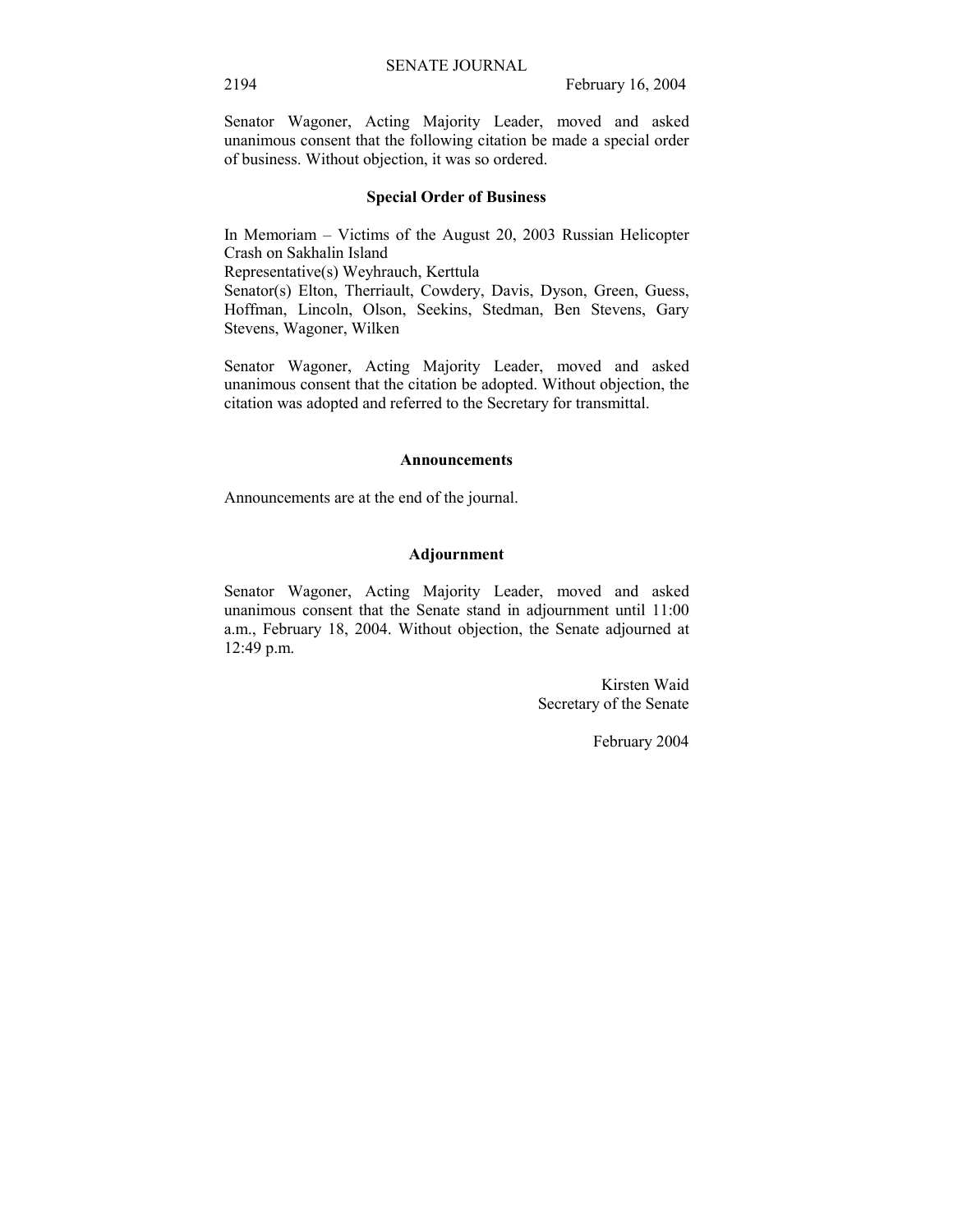Senator Wagoner, Acting Majority Leader, moved and asked unanimous consent that the following citation be made a special order of business. Without objection, it was so ordered.

#### **Special Order of Business**

In Memoriam  $-$  Victims of the August 20, 2003 Russian Helicopter Crash on Sakhalin Island

Representative(s) Weyhrauch, Kerttula

Senator(s) Elton, Therriault, Cowdery, Davis, Dyson, Green, Guess, Hoffman, Lincoln, Olson, Seekins, Stedman, Ben Stevens, Gary Stevens, Wagoner, Wilken

Senator Wagoner, Acting Majority Leader, moved and asked unanimous consent that the citation be adopted. Without objection, the citation was adopted and referred to the Secretary for transmittal.

#### **Announcements**

Announcements are at the end of the journal.

#### **Adjournment**

Senator Wagoner, Acting Majority Leader, moved and asked unanimous consent that the Senate stand in adjournment until 11:00 a.m., February 18, 2004. Without objection, the Senate adjourned at 12:49 p.m.

> Kirsten Waid Secretary of the Senate

> > February 2004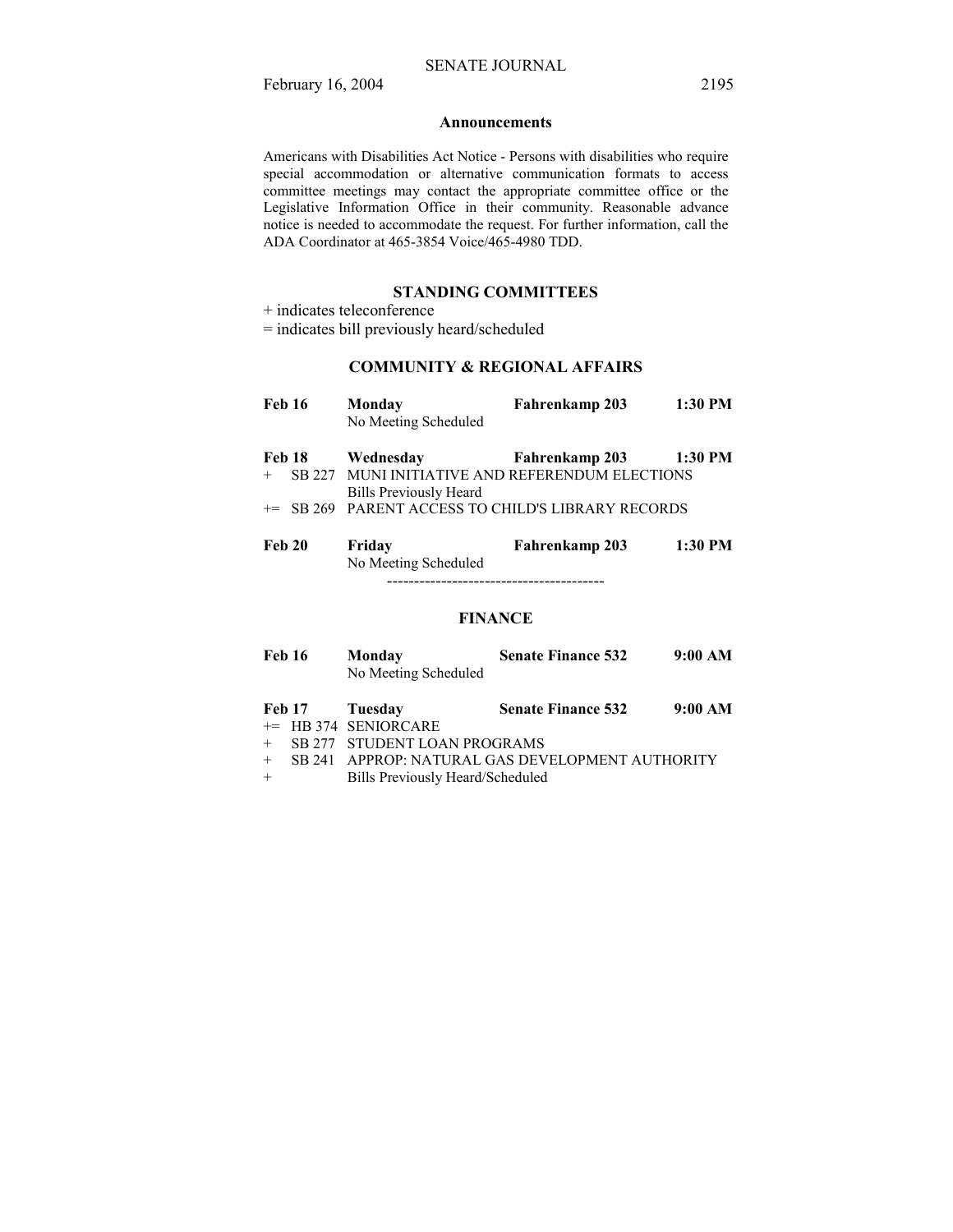#### **Announcements**

Americans with Disabilities Act Notice - Persons with disabilities who require special accommodation or alternative communication formats to access committee meetings may contact the appropriate committee office or the Legislative Information Office in their community. Reasonable advance notice is needed to accommodate the request. For further information, call the ADA Coordinator at 465-3854 Voice/465-4980 TDD.

### **STANDING COMMITTEES**

+ indicates teleconference

= indicates bill previously heard/scheduled

#### **COMMUNITY & REGIONAL AFFAIRS**

| <b>Feb 16</b> | Monday<br>No Meeting Scheduled                                | Fahrenkamp 203 | 1:30 PM |
|---------------|---------------------------------------------------------------|----------------|---------|
| Feb 18        | Wednesday                                                     | Fahrenkamp 203 | 1:30 PM |
|               | SB 227 MUNI INITIATIVE AND REFERENDUM ELECTIONS               |                |         |
|               | <b>Bills Previously Heard</b>                                 |                |         |
|               | <sup>+=</sup> SB 269 PARENT ACCESS TO CHILD'S LIBRARY RECORDS |                |         |
|               |                                                               |                |         |
| Feb 20        | Friday                                                        | Fahrenkamp 203 | 1:30 PM |
|               | No Meeting Scheduled                                          |                |         |
|               |                                                               |                |         |

### **FINANCE**

| <b>Feb 16</b> | Monday               | <b>Senate Finance 532</b> | 9:00 AM |
|---------------|----------------------|---------------------------|---------|
|               | No Meeting Scheduled |                           |         |
|               |                      |                           |         |

| <b>Feb 17</b> | Tuesday                | <b>Senate Finance 532</b> | 9:00 AM |
|---------------|------------------------|---------------------------|---------|
|               | $+=$ HB 374 SENIORCARE |                           |         |
|               |                        |                           |         |

- SB 277 STUDENT LOAN PROGRAMS
- + SB 241 APPROP: NATURAL GAS DEVELOPMENT AUTHORITY
- + Bills Previously Heard/Scheduled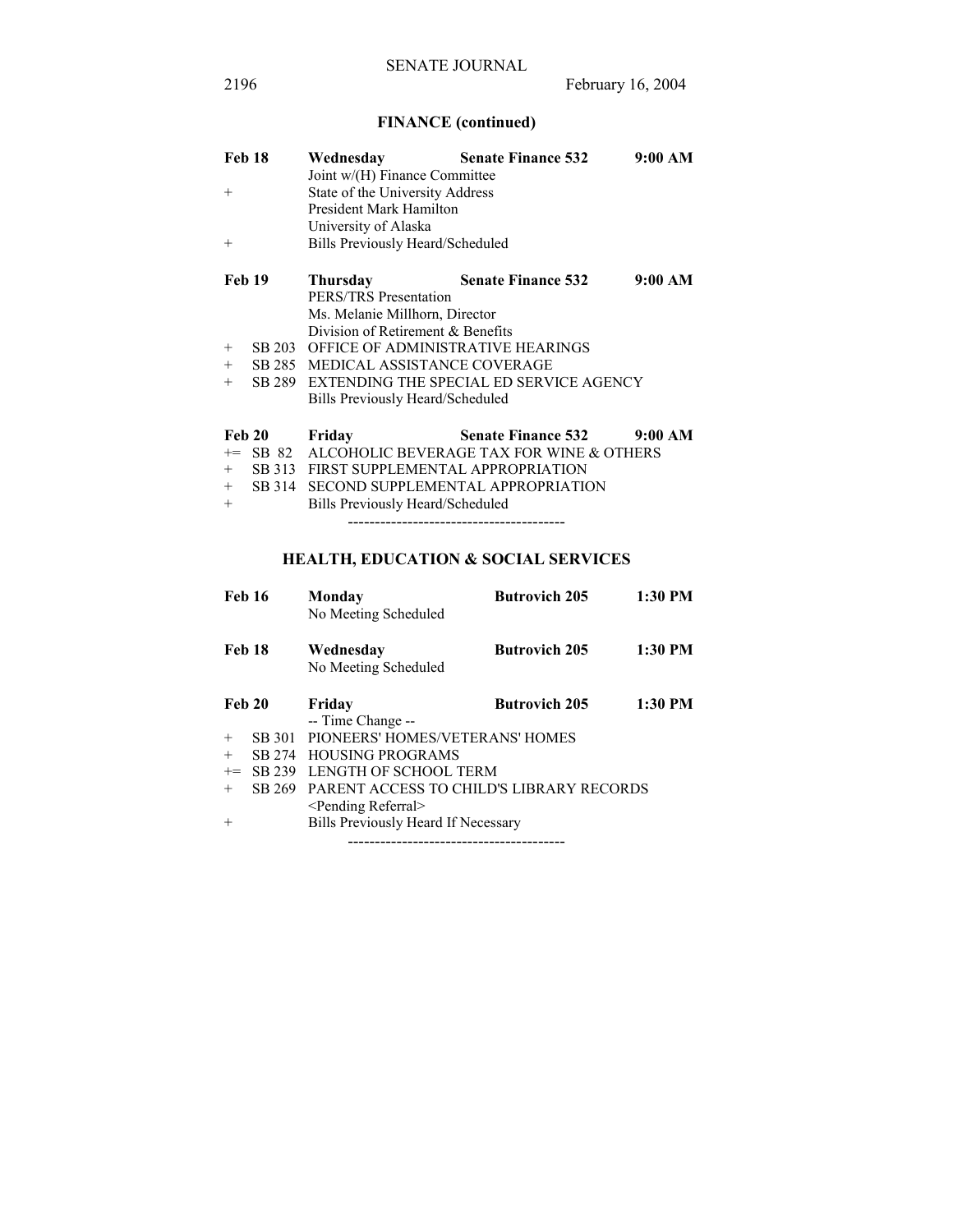# **FINANCE (continued)**

| <b>Feb 18</b> |        | Wednesday                                | <b>Senate Finance 532</b>                      | 9:00 AM |  |  |
|---------------|--------|------------------------------------------|------------------------------------------------|---------|--|--|
|               |        | Joint w/(H) Finance Committee            |                                                |         |  |  |
| $+$           |        | State of the University Address          |                                                |         |  |  |
|               |        | President Mark Hamilton                  |                                                |         |  |  |
|               |        | University of Alaska                     |                                                |         |  |  |
| $^{+}$        |        | Bills Previously Heard/Scheduled         |                                                |         |  |  |
| Feb 19        |        | Thursday                                 | <b>Senate Finance 532</b>                      | 9:00 AM |  |  |
|               |        | PERS/TRS Presentation                    |                                                |         |  |  |
|               |        | Ms. Melanie Millhorn, Director           |                                                |         |  |  |
|               |        | Division of Retirement $\&$ Benefits     |                                                |         |  |  |
| $+$           | SB 203 | <b>OFFICE OF ADMINISTRATIVE HEARINGS</b> |                                                |         |  |  |
| $+$           | SB 285 | MEDICAL ASSISTANCE COVERAGE              |                                                |         |  |  |
| $+$           |        |                                          | SB 289 EXTENDING THE SPECIAL ED SERVICE AGENCY |         |  |  |
|               |        | Bills Previously Heard/Scheduled         |                                                |         |  |  |
| Feb 20        |        | Friday                                   | <b>Senate Finance 532</b>                      | 9:00 AM |  |  |
| $+=$          | SB 82  |                                          | ALCOHOLIC BEVERAGE TAX FOR WINE & OTHERS       |         |  |  |
| $+$           |        | SB 313 FIRST SUPPLEMENTAL APPROPRIATION  |                                                |         |  |  |
| $+$           | SB 314 | SECOND SUPPLEMENTAL APPROPRIATION        |                                                |         |  |  |
| $+$           |        | Bills Previously Heard/Scheduled         |                                                |         |  |  |

----------------------------------------

# **HEALTH, EDUCATION & SOCIAL SERVICES**

| <b>Feb 16</b> |        | Monday<br>No Meeting Scheduled             | <b>Butrovich 205</b> | $1:30$ PM |
|---------------|--------|--------------------------------------------|----------------------|-----------|
| <b>Feb 18</b> |        | Wednesday<br>No Meeting Scheduled          | <b>Butrovich 205</b> | $1:30$ PM |
| <b>Feb 20</b> |        | Friday                                     | <b>Butrovich 205</b> | $1:30$ PM |
|               |        | -- Time Change --                          |                      |           |
| $+$           | SB 301 | PIONEERS' HOMES/VETERANS' HOMES            |                      |           |
| $^{+}$        | SB 274 | <b>HOUSING PROGRAMS</b>                    |                      |           |
| $+=$          | SB 239 | LENGTH OF SCHOOL TERM                      |                      |           |
| $+$           | SB 269 | PARENT ACCESS TO CHILD'S LIBRARY RECORDS   |                      |           |
|               |        | <pending referral=""></pending>            |                      |           |
| $^{+}$        |        | <b>Bills Previously Heard If Necessary</b> |                      |           |
|               |        |                                            |                      |           |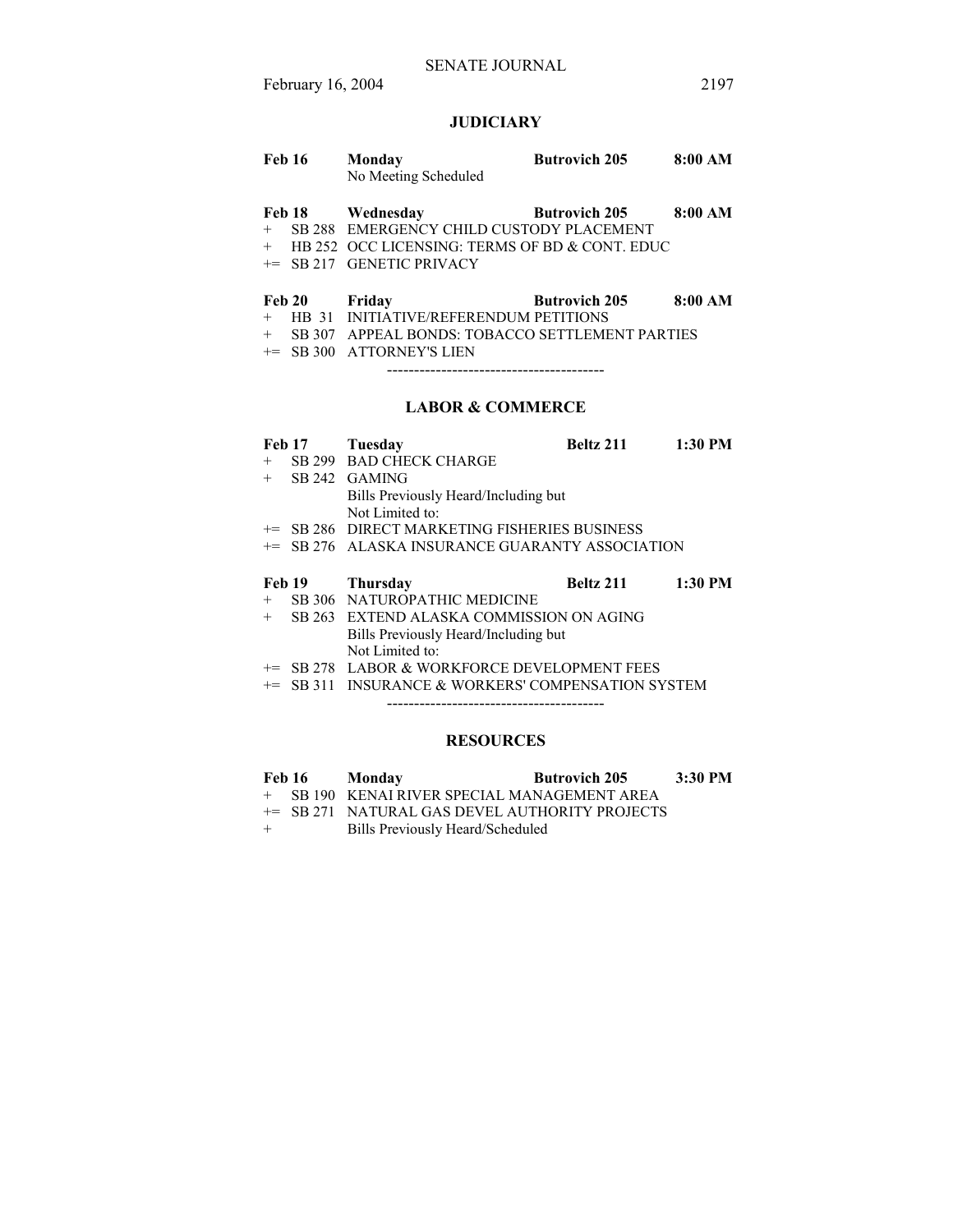### **JUDICIARY**

| Feb 16 | Mondav               | <b>Butrovich 205</b> | 8:00 AM |
|--------|----------------------|----------------------|---------|
|        | No Meeting Scheduled |                      |         |

- Feb 18 Wednesday Butrovich 205 8:00 AM
- + SB 288 EMERGENCY CHILD CUSTODY PLACEMENT
- + HB 252 OCC LICENSING: TERMS OF BD & CONT. EDUC
- += SB 217 GENETIC PRIVACY

#### Feb 20 Friday Butrovich 205 8:00 AM

- + HB 31 INITIATIVE/REFERENDUM PETITIONS
- + SB 307 APPEAL BONDS: TOBACCO SETTLEMENT PARTIES
- += SB 300 ATTORNEY'S LIEN

----------------------------------------

### **LABOR & COMMERCE**

| <b>Feb 17</b> | Tuesday                                                    | Beltz 211 | $1:30$ PM |
|---------------|------------------------------------------------------------|-----------|-----------|
| $^{+}$        | <b>SB 299 BAD CHECK CHARGE</b>                             |           |           |
| $+$           | SB 242 GAMING                                              |           |           |
|               | Bills Previously Heard/Including but                       |           |           |
|               | Not Limited to:                                            |           |           |
|               | += SB 286 DIRECT MARKETING FISHERIES BUSINESS              |           |           |
|               | <sup>+=</sup> SB 276 ALASKA INSURANCE GUARANTY ASSOCIATION |           |           |
|               |                                                            |           |           |
| <b>Feb 19</b> | <b>Thursday</b>                                            | Beltz 211 | $1:30$ PM |
| $+$           | SB 306 NATUROPATHIC MEDICINE                               |           |           |
| $+$           | SB 263 EXTEND ALASKA COMMISSION ON AGING                   |           |           |
|               | Bills Previously Heard/Including but                       |           |           |
|               | Not Limited to:                                            |           |           |
|               | += SB 278 LABOR & WORKFORCE DEVELOPMENT FEES               |           |           |

+= SB 311 INSURANCE & WORKERS' COMPENSATION SYSTEM

----------------------------------------

### **RESOURCES**

| <b>Feb 16</b> | Mondav | <b>Butrovich 205</b> | 3:30 PM |
|---------------|--------|----------------------|---------|
|               |        |                      |         |

+ SB 190 KENAI RIVER SPECIAL MANAGEMENT AREA

+= SB 271 NATURAL GAS DEVEL AUTHORITY PROJECTS

+ Bills Previously Heard/Scheduled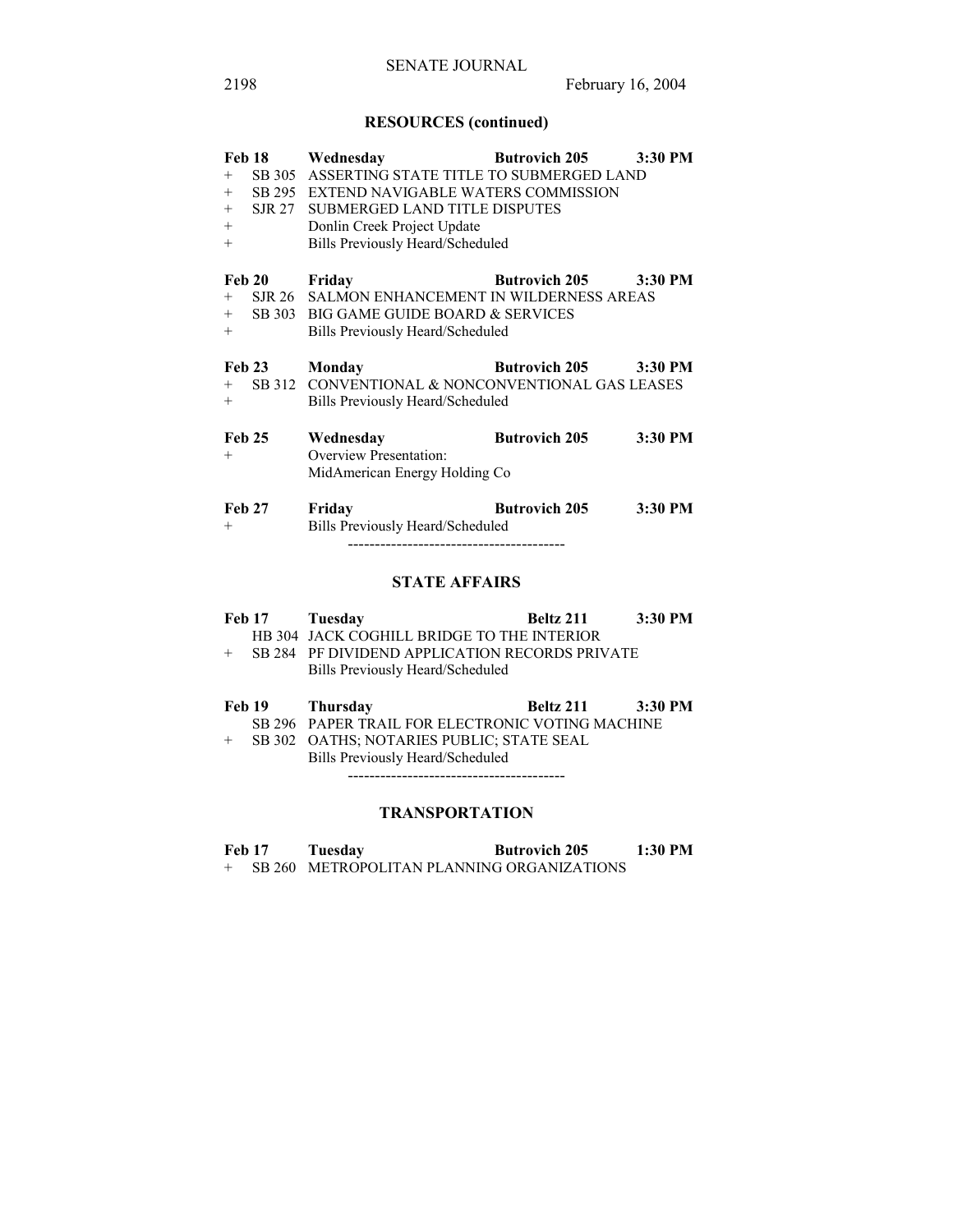# **RESOURCES (continued)**

|               |                      | Feb 18 Wednesday                                   | Butrovich 205 3:30 PM        |         |  |
|---------------|----------------------|----------------------------------------------------|------------------------------|---------|--|
| $+$           |                      | SB 305 ASSERTING STATE TITLE TO SUBMERGED LAND     |                              |         |  |
|               |                      | + SB 295 EXTEND NAVIGABLE WATERS COMMISSION        |                              |         |  |
|               |                      | + SJR 27 SUBMERGED LAND TITLE DISPUTES             |                              |         |  |
| $+$           |                      | Donlin Creek Project Update                        |                              |         |  |
| $+$           |                      | Bills Previously Heard/Scheduled                   |                              |         |  |
|               |                      |                                                    | Butrovich 205 3:30 PM        |         |  |
|               |                      | Feb 20 Friday                                      |                              |         |  |
| $+$           |                      | SJR 26 SALMON ENHANCEMENT IN WILDERNESS AREAS      |                              |         |  |
|               |                      | + SB 303 BIG GAME GUIDE BOARD & SERVICES           |                              |         |  |
| $^{+}$        |                      | Bills Previously Heard/Scheduled                   |                              |         |  |
| <b>Feb 23</b> |                      | Monday                                             | <b>Butrovich 205</b> 3:30 PM |         |  |
|               |                      | + SB 312 CONVENTIONAL & NONCONVENTIONAL GAS LEASES |                              |         |  |
| $+$           |                      | Bills Previously Heard/Scheduled                   |                              |         |  |
| <b>Feb 25</b> |                      | Wednesday                                          | <b>Butrovich 205</b>         | 3:30 PM |  |
| $+$           |                      | <b>Overview Presentation:</b>                      |                              |         |  |
|               |                      | MidAmerican Energy Holding Co                      |                              |         |  |
|               |                      |                                                    |                              |         |  |
| <b>Feb 27</b> |                      | Friday                                             | <b>Butrovich 205</b>         | 3:30 PM |  |
| $+$           |                      | Bills Previously Heard/Scheduled                   |                              |         |  |
|               |                      |                                                    |                              |         |  |
|               |                      |                                                    |                              |         |  |
|               | <b>STATE AFFAIRS</b> |                                                    |                              |         |  |

| <b>Feb 17</b> | Tuesday                                          | Beltz 211 | 3:30 PM |
|---------------|--------------------------------------------------|-----------|---------|
|               | HB 304 JACK COGHILL BRIDGE TO THE INTERIOR       |           |         |
| $+$           | SB 284 PF DIVIDEND APPLICATION RECORDS PRIVATE   |           |         |
|               | Bills Previously Heard/Scheduled                 |           |         |
|               |                                                  |           |         |
|               |                                                  |           |         |
| Feb 19        | Thursday                                         | Beltz 211 | 3:30 PM |
|               | SB 296 PAPER TRAIL FOR ELECTRONIC VOTING MACHINE |           |         |
| $^{+}$        | SB 302 OATHS; NOTARIES PUBLIC; STATE SEAL        |           |         |
|               | Bills Previously Heard/Scheduled                 |           |         |

# **TRANSPORTATION**

| <b>Feb 17</b> | Tuesday | <b>Butrovich 205</b>                       | $1:30$ PM |
|---------------|---------|--------------------------------------------|-----------|
|               |         | SB 260 METROPOLITAN PLANNING ORGANIZATIONS |           |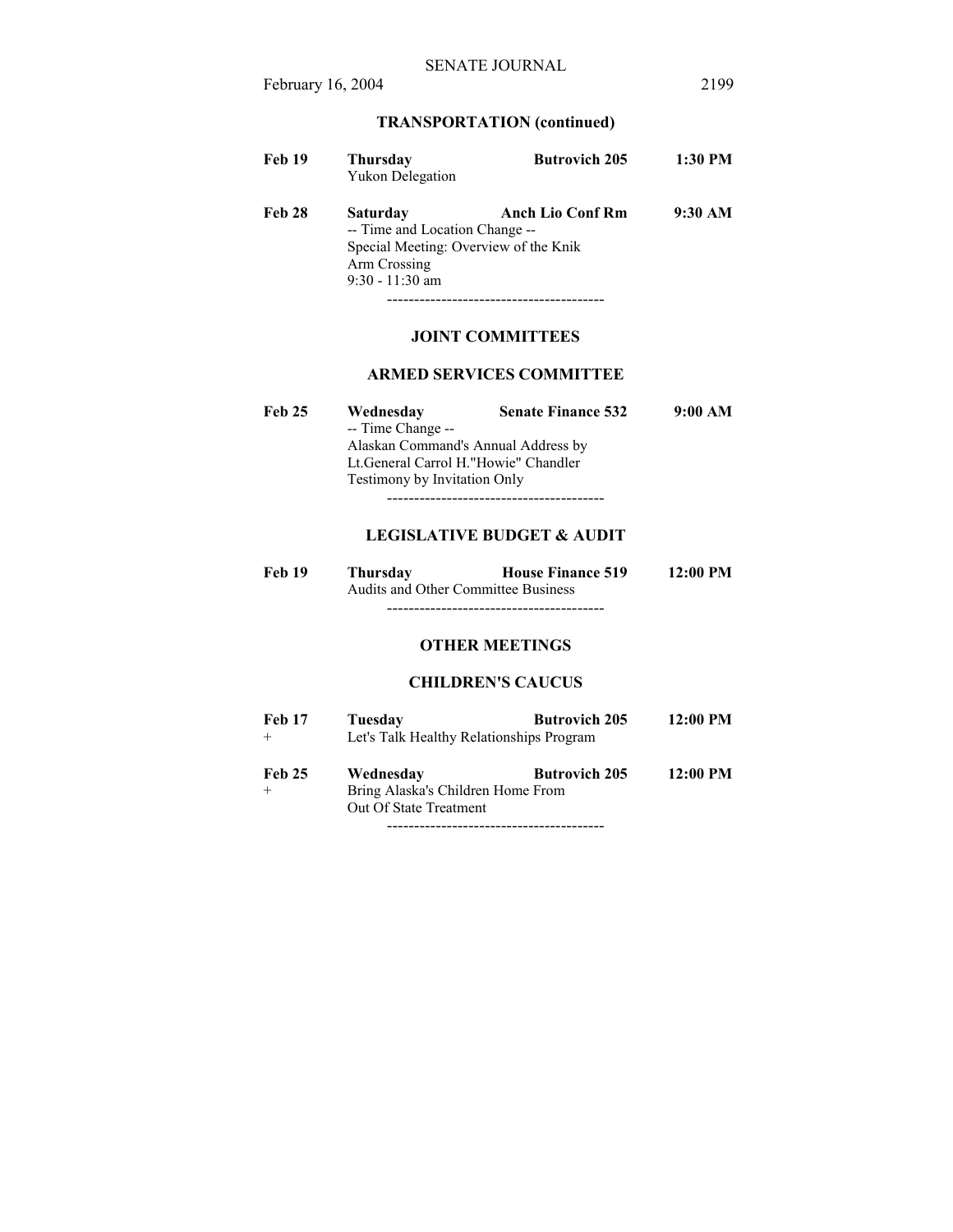# **TRANSPORTATION (continued)**

| Feb 19        | <b>Thursday</b><br><b>Yukon Delegation</b>                                                          | <b>Butrovich 205</b>    | 1:30 PM |
|---------------|-----------------------------------------------------------------------------------------------------|-------------------------|---------|
| <b>Feb 28</b> | Saturday<br>-- Time and Location Change --<br>Special Meeting: Overview of the Knik<br>Arm Crossing | <b>Anch Lio Conf Rm</b> | 9:30 AM |
|               | $9:30 - 11:30$ am                                                                                   |                         |         |

----------------------------------------

# **JOINT COMMITTEES**

### **ARMED SERVICES COMMITTEE**

| <b>Feb 25</b> | Wednesday                              | <b>Senate Finance 532</b> | 9:00 AM |
|---------------|----------------------------------------|---------------------------|---------|
|               | -- Time Change --                      |                           |         |
|               | Alaskan Command's Annual Address by    |                           |         |
|               | Lt. General Carrol H. "Howie" Chandler |                           |         |
|               | <b>Testimony by Invitation Only</b>    |                           |         |
|               |                                        |                           |         |

## **LEGISLATIVE BUDGET & AUDIT**

| <b>Feb 19</b> | Thursdav                            | <b>House Finance 519</b> | $12:00 \text{ PM}$ |
|---------------|-------------------------------------|--------------------------|--------------------|
|               | Audits and Other Committee Business |                          |                    |
|               |                                     |                          |                    |

# **OTHER MEETINGS**

### **CHILDREN'S CAUCUS**

| <b>Feb 17</b> | Tuesdav                                  | <b>Butrovich 205</b> | 12:00 PM |
|---------------|------------------------------------------|----------------------|----------|
|               | Let's Talk Healthy Relationships Program |                      |          |
| <b>Feb 25</b> | Wednesday                                | <b>Butrovich 205</b> | 12:00 PM |
|               | Bring Alaska's Children Home From        |                      |          |
|               | Out Of State Treatment                   |                      |          |

----------------------------------------